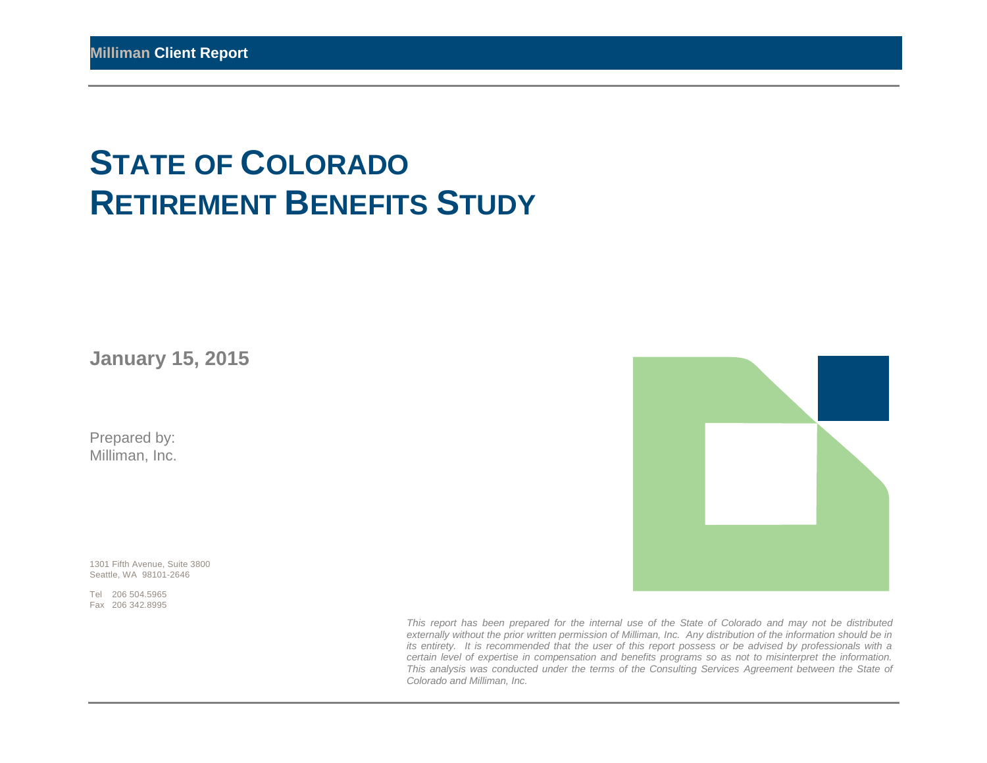# **STATE OF COLORADO RETIREMENT BENEFITS STUDY**

**January 15, 2015** 

Prepared by: Milliman, Inc.

1301 Fifth Avenue, Suite 3800 Seattle, WA 98101-2646

Tel 206 504.5965 Fax 206 342.8995



*This report has been prepared for the internal use of the State of Colorado and may not be distributed externally without the prior written permission of Milliman, Inc. Any distribution of the information should be in its entirety. It is recommended that the user of this report possess or be advised by professionals with a certain level of expertise in compensation and benefits programs so as not to misinterpret the information. This analysis was conducted under the terms of the Consulting Services Agreement between the State of Colorado and Milliman, Inc.*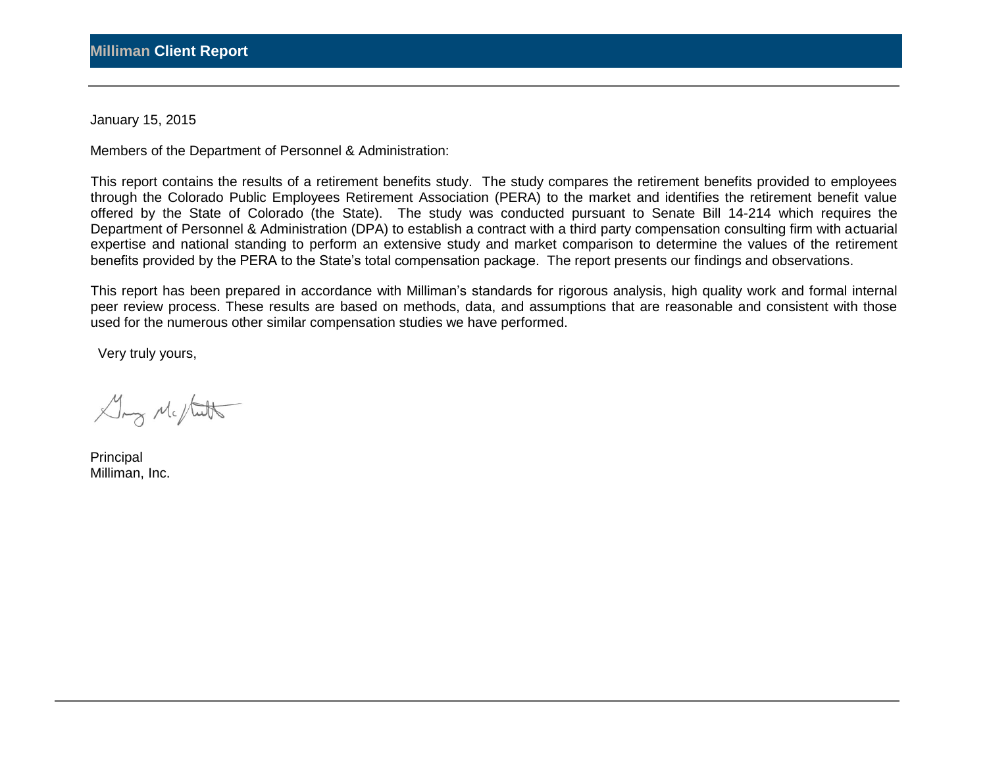January 15, 2015

Members of the Department of Personnel & Administration:

This report contains the results of a retirement benefits study. The study compares the retirement benefits provided to employees through the Colorado Public Employees Retirement Association (PERA) to the market and identifies the retirement benefit value offered by the State of Colorado (the State). The study was conducted pursuant to Senate Bill 14-214 which requires the Department of Personnel & Administration (DPA) to establish a contract with a third party compensation consulting firm with actuarial expertise and national standing to perform an extensive study and market comparison to determine the values of the retirement benefits provided by the PERA to the State's total compensation package. The report presents our findings and observations.

This report has been prepared in accordance with Milliman's standards for rigorous analysis, high quality work and formal internal peer review process. These results are based on methods, data, and assumptions that are reasonable and consistent with those used for the numerous other similar compensation studies we have performed.

Very truly yours,

Gry Me/tutt

Principal Milliman, Inc.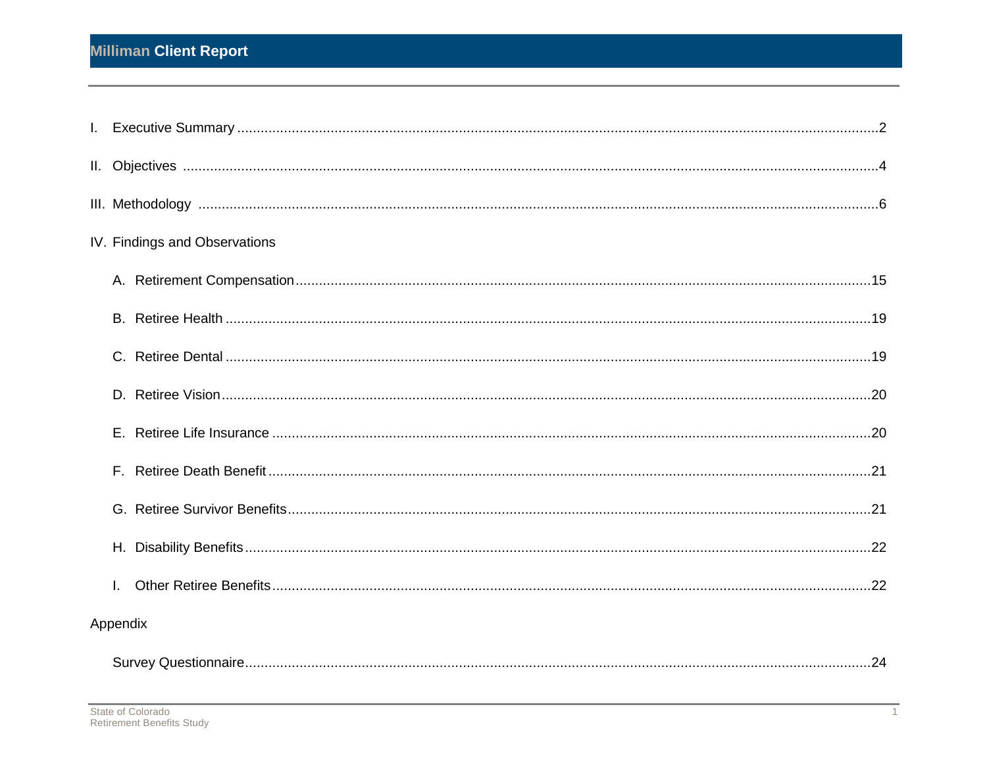| IV. Findings and Observations |  |
|-------------------------------|--|
|                               |  |
|                               |  |
|                               |  |
|                               |  |
|                               |  |
|                               |  |
|                               |  |
|                               |  |
| $\mathbf{L}$                  |  |
| Appendix                      |  |
|                               |  |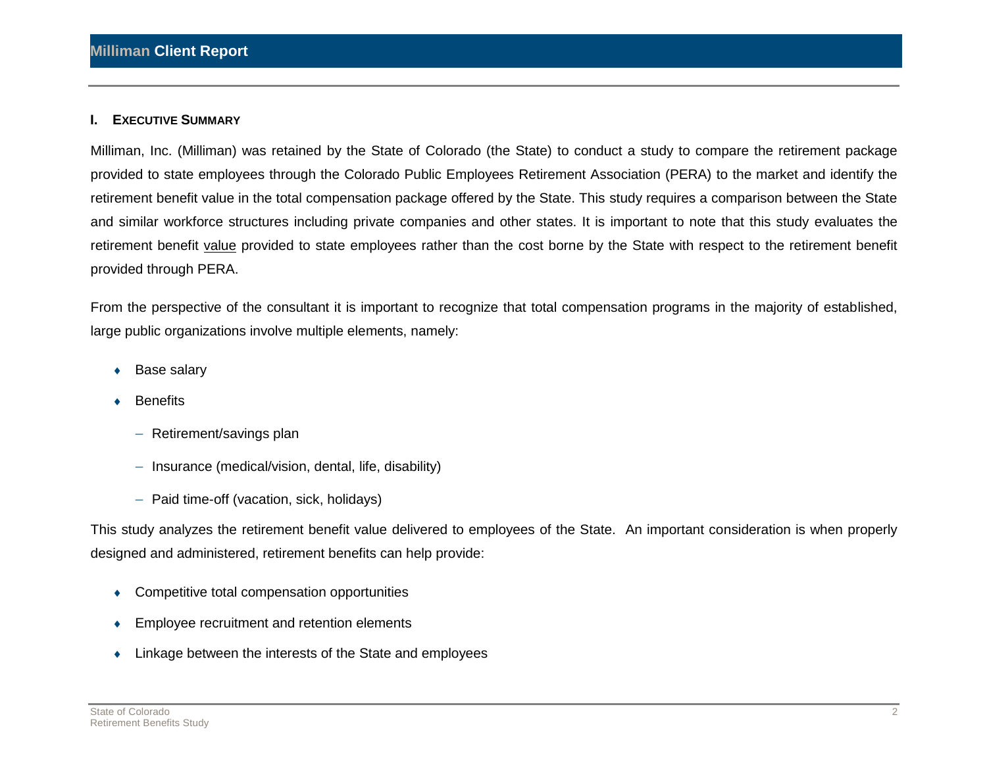#### **I. EXECUTIVE SUMMARY**

Milliman, Inc. (Milliman) was retained by the State of Colorado (the State) to conduct a study to compare the retirement package provided to state employees through the Colorado Public Employees Retirement Association (PERA) to the market and identify the retirement benefit value in the total compensation package offered by the State. This study requires a comparison between the State and similar workforce structures including private companies and other states. It is important to note that this study evaluates the retirement benefit value provided to state employees rather than the cost borne by the State with respect to the retirement benefit provided through PERA.

From the perspective of the consultant it is important to recognize that total compensation programs in the majority of established, large public organizations involve multiple elements, namely:

- Base salary
- **Benefits** 
	- $-$  Retirement/savings plan
	- $-$  Insurance (medical/vision, dental, life, disability)
	- $-$  Paid time-off (vacation, sick, holidays)

This study analyzes the retirement benefit value delivered to employees of the State. An important consideration is when properly designed and administered, retirement benefits can help provide:

- Competitive total compensation opportunities
- ◆ Employee recruitment and retention elements
- Linkage between the interests of the State and employees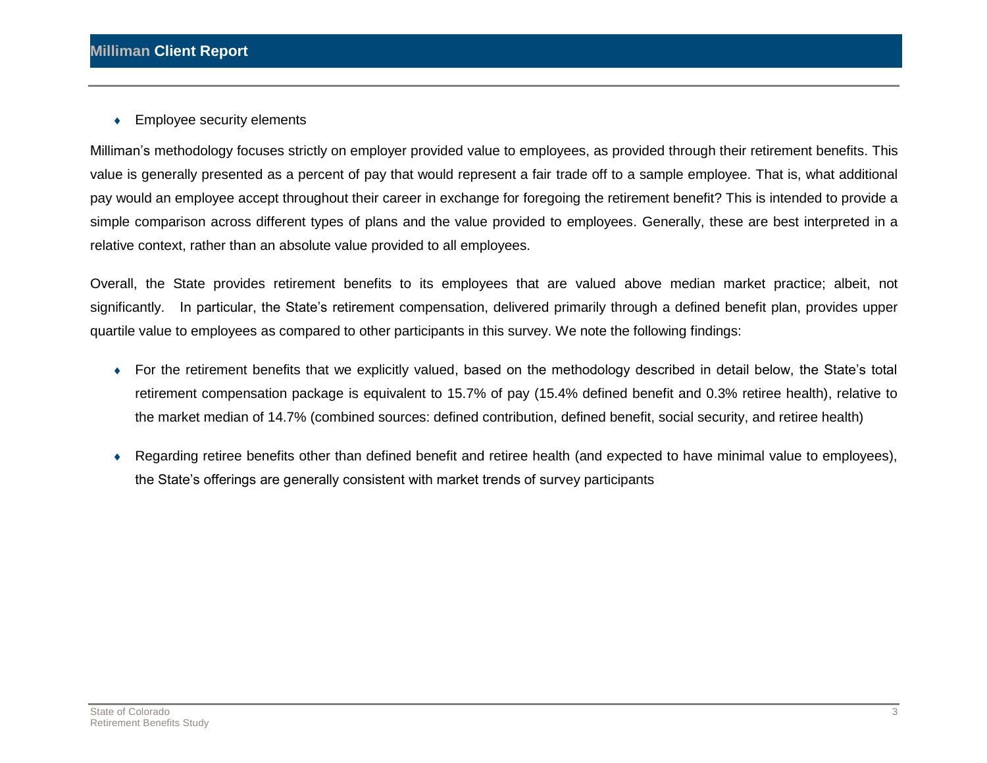◆ Employee security elements

Milliman's methodology focuses strictly on employer provided value to employees, as provided through their retirement benefits. This value is generally presented as a percent of pay that would represent a fair trade off to a sample employee. That is, what additional pay would an employee accept throughout their career in exchange for foregoing the retirement benefit? This is intended to provide a simple comparison across different types of plans and the value provided to employees. Generally, these are best interpreted in a relative context, rather than an absolute value provided to all employees.

Overall, the State provides retirement benefits to its employees that are valued above median market practice; albeit, not significantly. In particular, the State's retirement compensation, delivered primarily through a defined benefit plan, provides upper quartile value to employees as compared to other participants in this survey. We note the following findings:

- For the retirement benefits that we explicitly valued, based on the methodology described in detail below, the State's total retirement compensation package is equivalent to 15.7% of pay (15.4% defined benefit and 0.3% retiree health), relative to the market median of 14.7% (combined sources: defined contribution, defined benefit, social security, and retiree health)
- Regarding retiree benefits other than defined benefit and retiree health (and expected to have minimal value to employees), the State's offerings are generally consistent with market trends of survey participants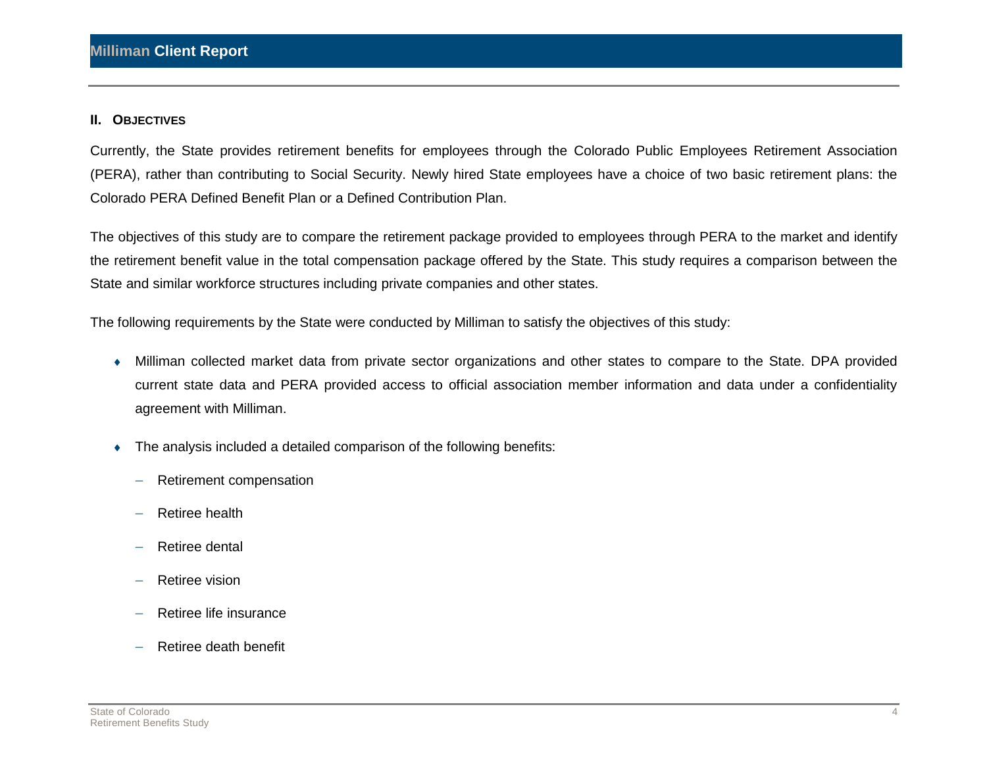#### **II. OBJECTIVES**

Currently, the State provides retirement benefits for employees through the Colorado Public Employees Retirement Association (PERA), rather than contributing to Social Security. Newly hired State employees have a choice of two basic retirement plans: the Colorado PERA Defined Benefit Plan or a Defined Contribution Plan.

The objectives of this study are to compare the retirement package provided to employees through PERA to the market and identify the retirement benefit value in the total compensation package offered by the State. This study requires a comparison between the State and similar workforce structures including private companies and other states.

The following requirements by the State were conducted by Milliman to satisfy the objectives of this study:

- Milliman collected market data from private sector organizations and other states to compare to the State. DPA provided current state data and PERA provided access to official association member information and data under a confidentiality agreement with Milliman.
- The analysis included a detailed comparison of the following benefits:
	- Retirement compensation
	- $-$  Retiree health
	- Retiree dental
	- $-$  Retiree vision
	- Retiree life insurance
	- $-$  Retiree death benefit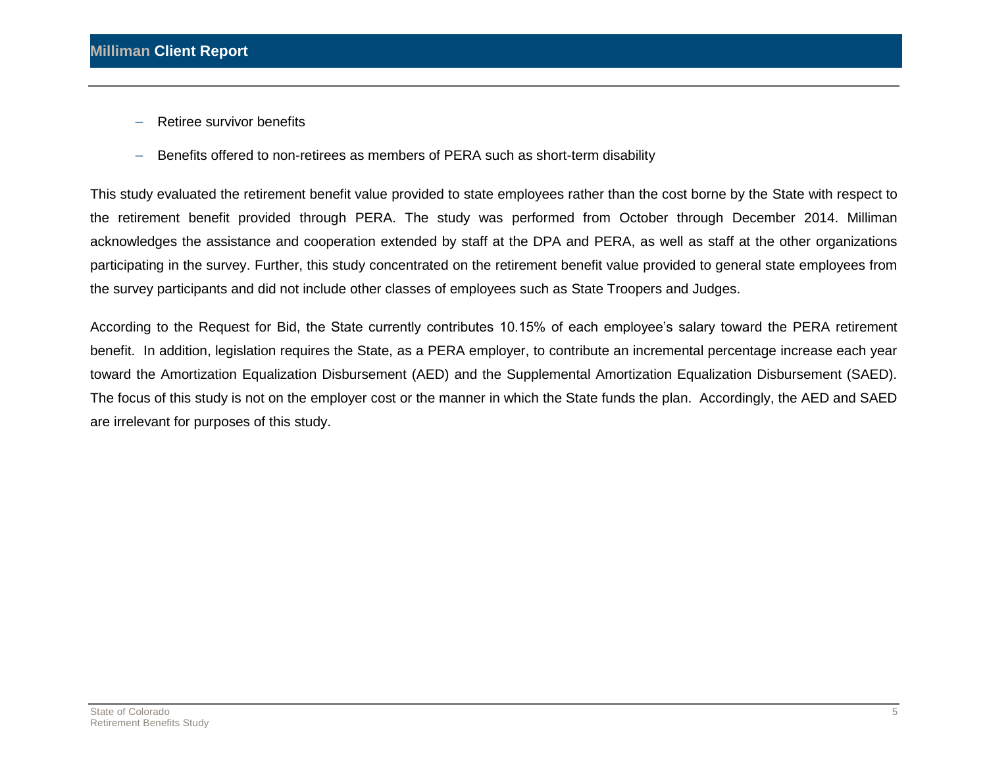- $-$  Retiree survivor benefits
- Benefits offered to non-retirees as members of PERA such as short-term disability

This study evaluated the retirement benefit value provided to state employees rather than the cost borne by the State with respect to the retirement benefit provided through PERA. The study was performed from October through December 2014. Milliman acknowledges the assistance and cooperation extended by staff at the DPA and PERA, as well as staff at the other organizations participating in the survey. Further, this study concentrated on the retirement benefit value provided to general state employees from the survey participants and did not include other classes of employees such as State Troopers and Judges.

According to the Request for Bid, the State currently contributes 10.15% of each employee's salary toward the PERA retirement benefit. In addition, legislation requires the State, as a PERA employer, to contribute an incremental percentage increase each year toward the Amortization Equalization Disbursement (AED) and the Supplemental Amortization Equalization Disbursement (SAED). The focus of this study is not on the employer cost or the manner in which the State funds the plan. Accordingly, the AED and SAED are irrelevant for purposes of this study.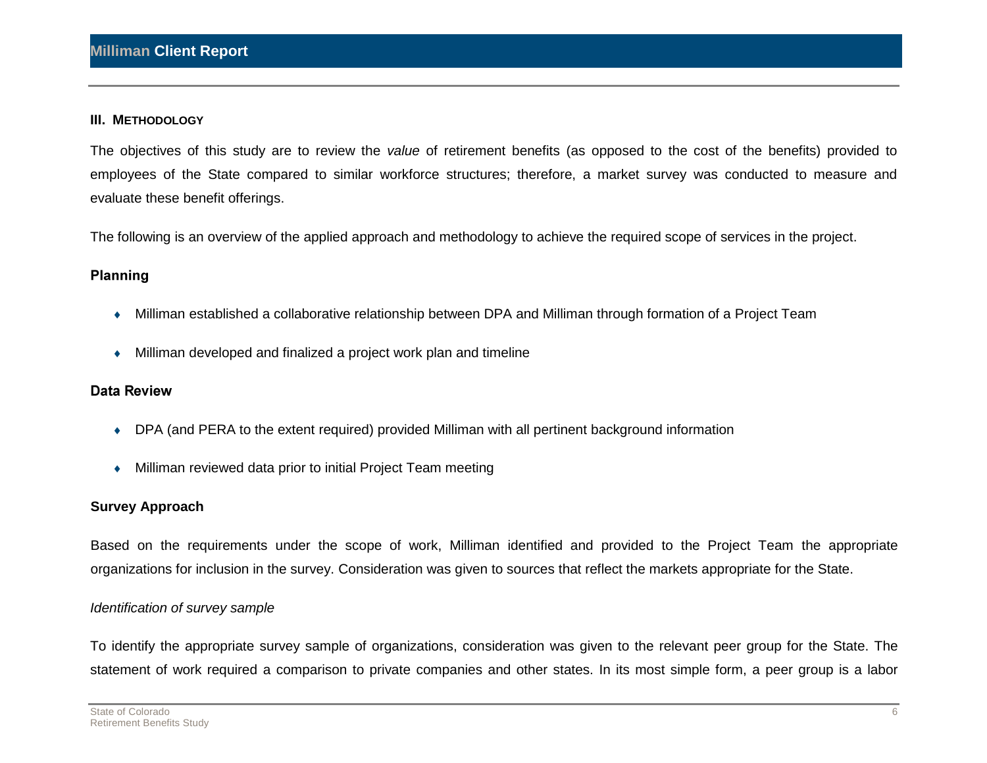#### **III. METHODOLOGY**

The objectives of this study are to review the *value* of retirement benefits (as opposed to the cost of the benefits) provided to employees of the State compared to similar workforce structures; therefore, a market survey was conducted to measure and evaluate these benefit offerings.

The following is an overview of the applied approach and methodology to achieve the required scope of services in the project.

### **Planning**

- Milliman established a collaborative relationship between DPA and Milliman through formation of a Project Team
- Milliman developed and finalized a project work plan and timeline

### **Data Review**

- DPA (and PERA to the extent required) provided Milliman with all pertinent background information
- Milliman reviewed data prior to initial Project Team meeting

### **Survey Approach**

Based on the requirements under the scope of work, Milliman identified and provided to the Project Team the appropriate organizations for inclusion in the survey. Consideration was given to sources that reflect the markets appropriate for the State.

### *Identification of survey sample*

To identify the appropriate survey sample of organizations, consideration was given to the relevant peer group for the State. The statement of work required a comparison to private companies and other states. In its most simple form, a peer group is a labor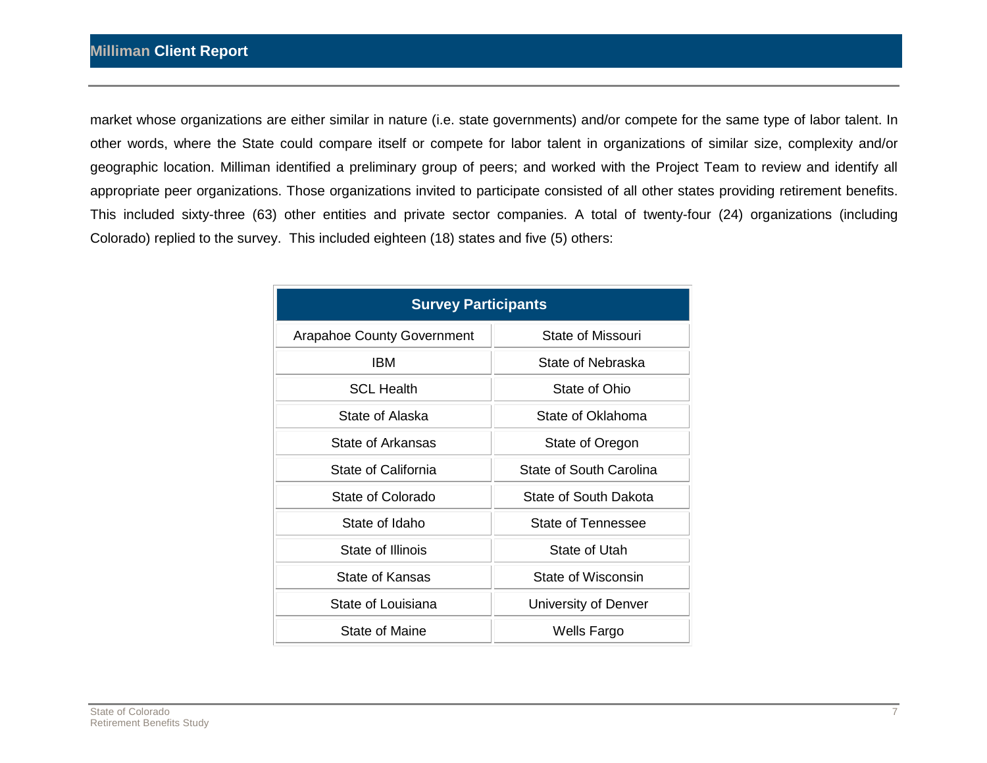market whose organizations are either similar in nature (i.e. state governments) and/or compete for the same type of labor talent. In other words, where the State could compare itself or compete for labor talent in organizations of similar size, complexity and/or geographic location. Milliman identified a preliminary group of peers; and worked with the Project Team to review and identify all appropriate peer organizations. Those organizations invited to participate consisted of all other states providing retirement benefits. This included sixty-three (63) other entities and private sector companies. A total of twenty-four (24) organizations (including Colorado) replied to the survey. This included eighteen (18) states and five (5) others:

| <b>Survey Participants</b>        |                           |  |
|-----------------------------------|---------------------------|--|
| <b>Arapahoe County Government</b> | State of Missouri         |  |
| <b>IBM</b>                        | State of Nebraska         |  |
| <b>SCL Health</b>                 | State of Ohio             |  |
| State of Alaska                   | State of Oklahoma         |  |
| State of Arkansas                 | State of Oregon           |  |
| State of California               | State of South Carolina   |  |
| State of Colorado                 | State of South Dakota     |  |
| State of Idaho                    | <b>State of Tennessee</b> |  |
| State of Illinois                 | State of Utah             |  |
| State of Kansas                   | State of Wisconsin        |  |
| State of Louisiana                | University of Denver      |  |
| State of Maine                    | Wells Fargo               |  |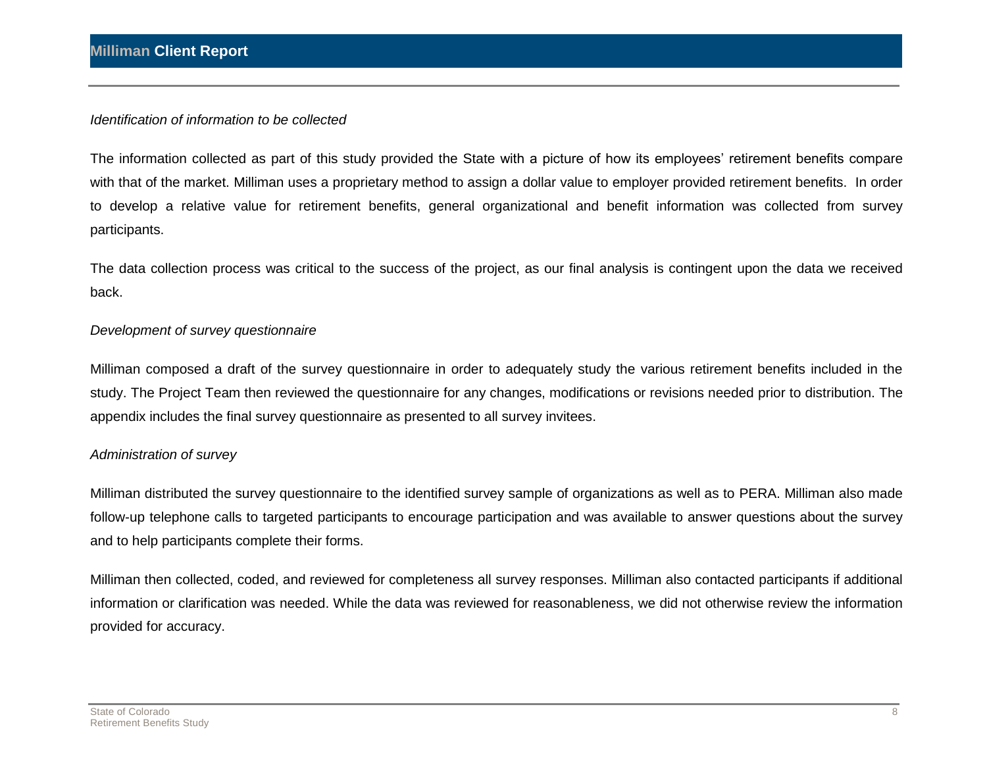#### *Identification of information to be collected*

The information collected as part of this study provided the State with a picture of how its employees' retirement benefits compare with that of the market. Milliman uses a proprietary method to assign a dollar value to employer provided retirement benefits. In order to develop a relative value for retirement benefits, general organizational and benefit information was collected from survey participants.

The data collection process was critical to the success of the project, as our final analysis is contingent upon the data we received back.

#### *Development of survey questionnaire*

Milliman composed a draft of the survey questionnaire in order to adequately study the various retirement benefits included in the study. The Project Team then reviewed the questionnaire for any changes, modifications or revisions needed prior to distribution. The appendix includes the final survey questionnaire as presented to all survey invitees.

#### *Administration of survey*

Milliman distributed the survey questionnaire to the identified survey sample of organizations as well as to PERA. Milliman also made follow-up telephone calls to targeted participants to encourage participation and was available to answer questions about the survey and to help participants complete their forms.

Milliman then collected, coded, and reviewed for completeness all survey responses. Milliman also contacted participants if additional information or clarification was needed. While the data was reviewed for reasonableness, we did not otherwise review the information provided for accuracy.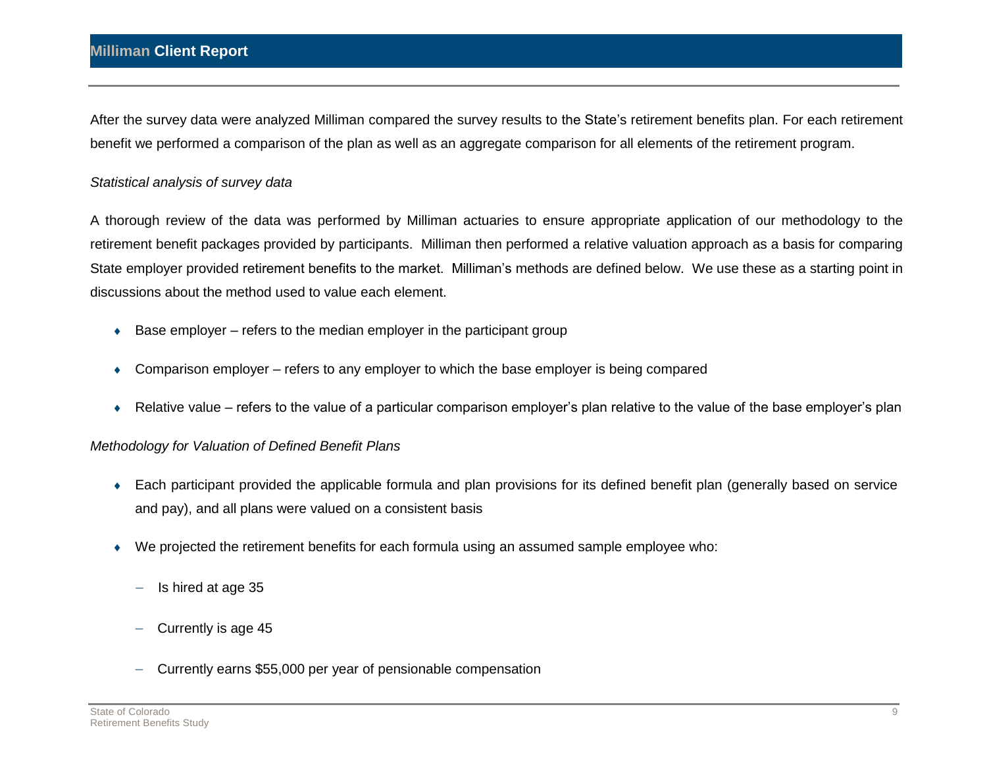### **Milliman Client Report**

After the survey data were analyzed Milliman compared the survey results to the State's retirement benefits plan. For each retirement benefit we performed a comparison of the plan as well as an aggregate comparison for all elements of the retirement program.

#### *Statistical analysis of survey data*

A thorough review of the data was performed by Milliman actuaries to ensure appropriate application of our methodology to the retirement benefit packages provided by participants. Milliman then performed a relative valuation approach as a basis for comparing State employer provided retirement benefits to the market. Milliman's methods are defined below. We use these as a starting point in discussions about the method used to value each element.

- $\triangle$  Base employer refers to the median employer in the participant group
- Comparison employer refers to any employer to which the base employer is being compared
- Relative value refers to the value of a particular comparison employer's plan relative to the value of the base employer's plan

#### *Methodology for Valuation of Defined Benefit Plans*

- Each participant provided the applicable formula and plan provisions for its defined benefit plan (generally based on service and pay), and all plans were valued on a consistent basis
- We projected the retirement benefits for each formula using an assumed sample employee who:
	- Is hired at age 35
	- Currently is age 45
	- Currently earns \$55,000 per year of pensionable compensation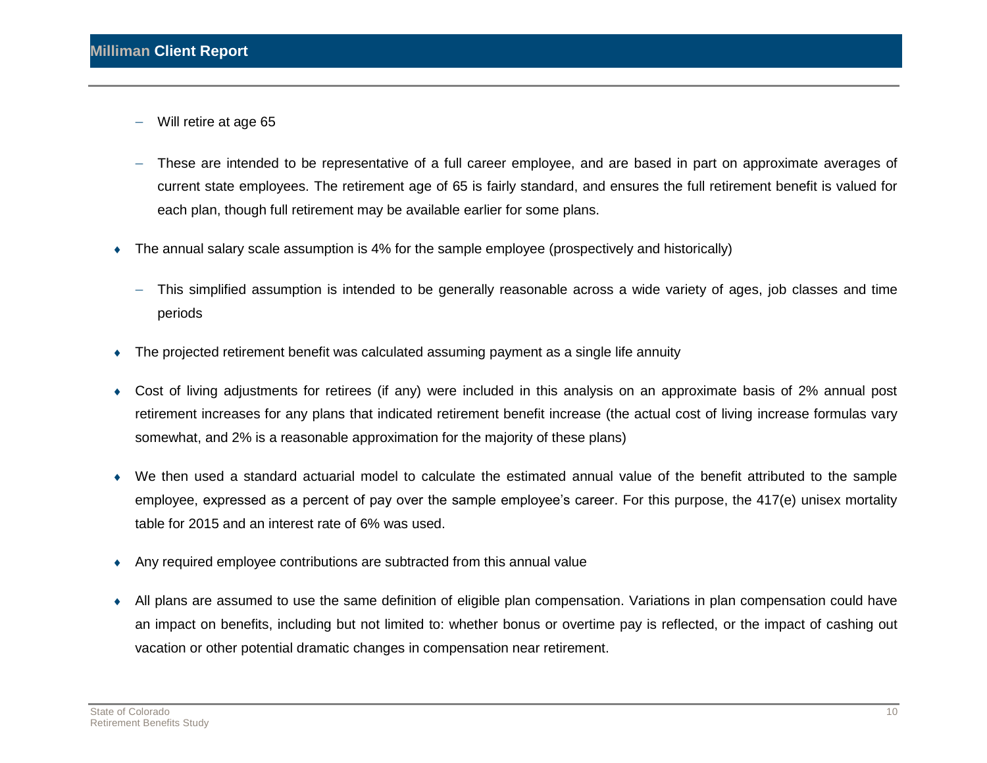- Will retire at age 65
- These are intended to be representative of a full career employee, and are based in part on approximate averages of current state employees. The retirement age of 65 is fairly standard, and ensures the full retirement benefit is valued for each plan, though full retirement may be available earlier for some plans.
- The annual salary scale assumption is 4% for the sample employee (prospectively and historically)
	- This simplified assumption is intended to be generally reasonable across a wide variety of ages, job classes and time periods
- The projected retirement benefit was calculated assuming payment as a single life annuity
- Cost of living adjustments for retirees (if any) were included in this analysis on an approximate basis of 2% annual post retirement increases for any plans that indicated retirement benefit increase (the actual cost of living increase formulas vary somewhat, and 2% is a reasonable approximation for the majority of these plans)
- We then used a standard actuarial model to calculate the estimated annual value of the benefit attributed to the sample employee, expressed as a percent of pay over the sample employee's career. For this purpose, the 417(e) unisex mortality table for 2015 and an interest rate of 6% was used.
- Any required employee contributions are subtracted from this annual value
- All plans are assumed to use the same definition of eligible plan compensation. Variations in plan compensation could have an impact on benefits, including but not limited to: whether bonus or overtime pay is reflected, or the impact of cashing out vacation or other potential dramatic changes in compensation near retirement.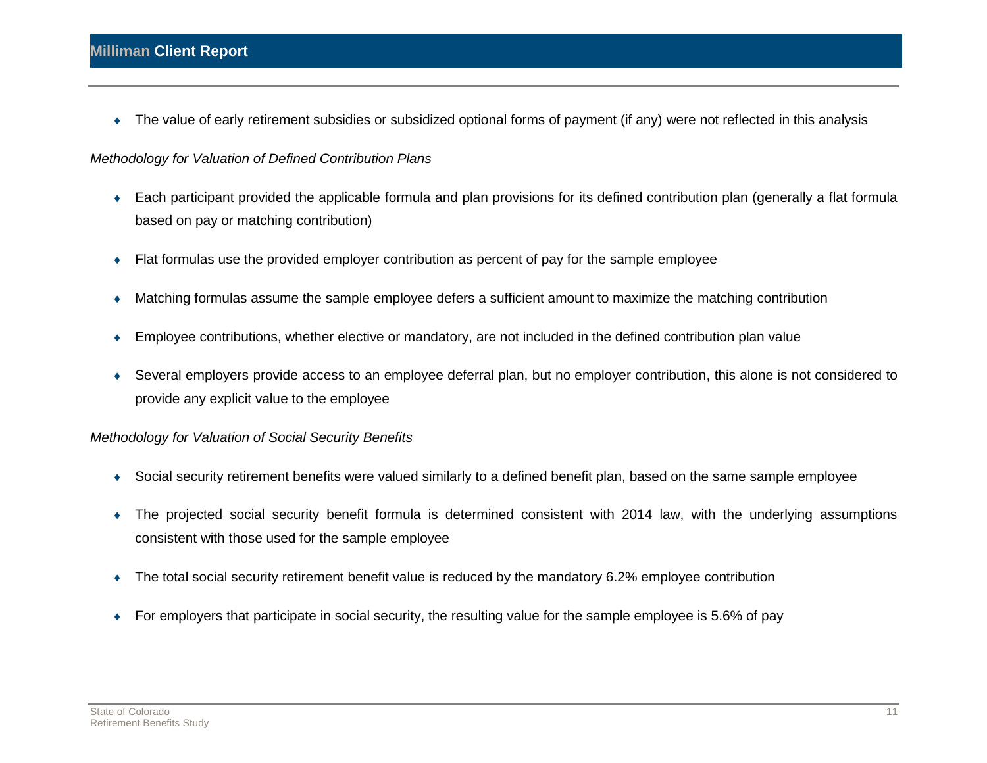The value of early retirement subsidies or subsidized optional forms of payment (if any) were not reflected in this analysis

#### *Methodology for Valuation of Defined Contribution Plans*

- Each participant provided the applicable formula and plan provisions for its defined contribution plan (generally a flat formula based on pay or matching contribution)
- Flat formulas use the provided employer contribution as percent of pay for the sample employee
- Matching formulas assume the sample employee defers a sufficient amount to maximize the matching contribution
- Employee contributions, whether elective or mandatory, are not included in the defined contribution plan value
- Several employers provide access to an employee deferral plan, but no employer contribution, this alone is not considered to provide any explicit value to the employee

#### *Methodology for Valuation of Social Security Benefits*

- Social security retirement benefits were valued similarly to a defined benefit plan, based on the same sample employee
- The projected social security benefit formula is determined consistent with 2014 law, with the underlying assumptions consistent with those used for the sample employee
- The total social security retirement benefit value is reduced by the mandatory 6.2% employee contribution
- For employers that participate in social security, the resulting value for the sample employee is 5.6% of pay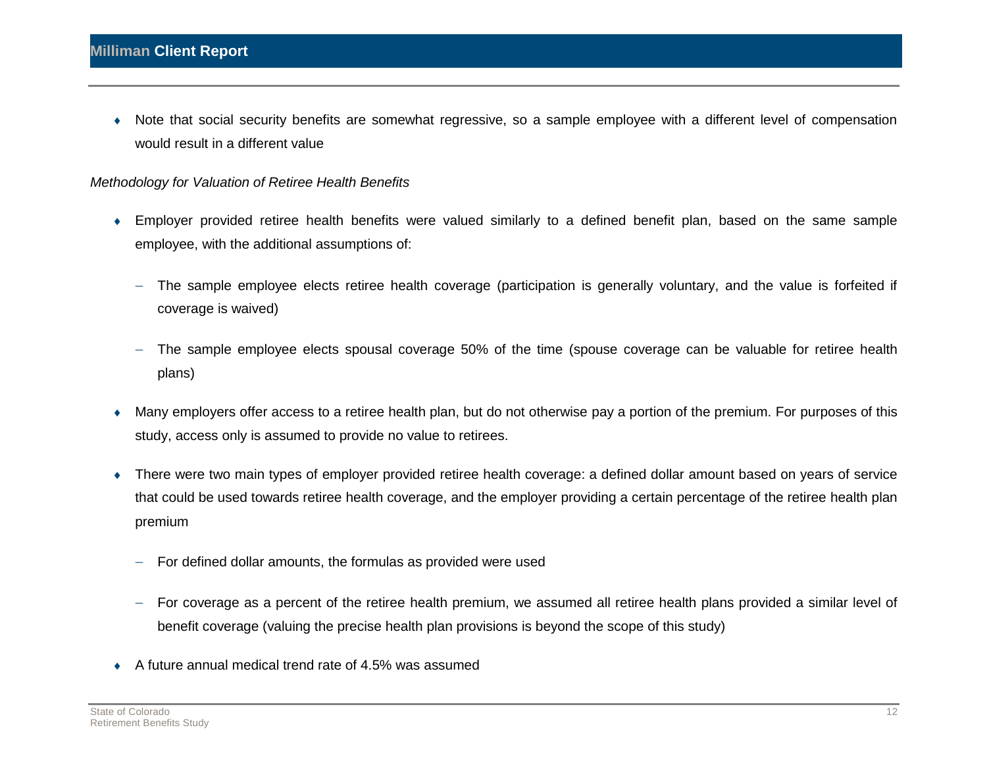Note that social security benefits are somewhat regressive, so a sample employee with a different level of compensation would result in a different value

#### *Methodology for Valuation of Retiree Health Benefits*

- Employer provided retiree health benefits were valued similarly to a defined benefit plan, based on the same sample employee, with the additional assumptions of:
	- The sample employee elects retiree health coverage (participation is generally voluntary, and the value is forfeited if coverage is waived)
	- The sample employee elects spousal coverage 50% of the time (spouse coverage can be valuable for retiree health plans)
- Many employers offer access to a retiree health plan, but do not otherwise pay a portion of the premium. For purposes of this study, access only is assumed to provide no value to retirees.
- There were two main types of employer provided retiree health coverage: a defined dollar amount based on years of service that could be used towards retiree health coverage, and the employer providing a certain percentage of the retiree health plan premium
	- $-$  For defined dollar amounts, the formulas as provided were used
	- For coverage as a percent of the retiree health premium, we assumed all retiree health plans provided a similar level of benefit coverage (valuing the precise health plan provisions is beyond the scope of this study)
- A future annual medical trend rate of 4.5% was assumed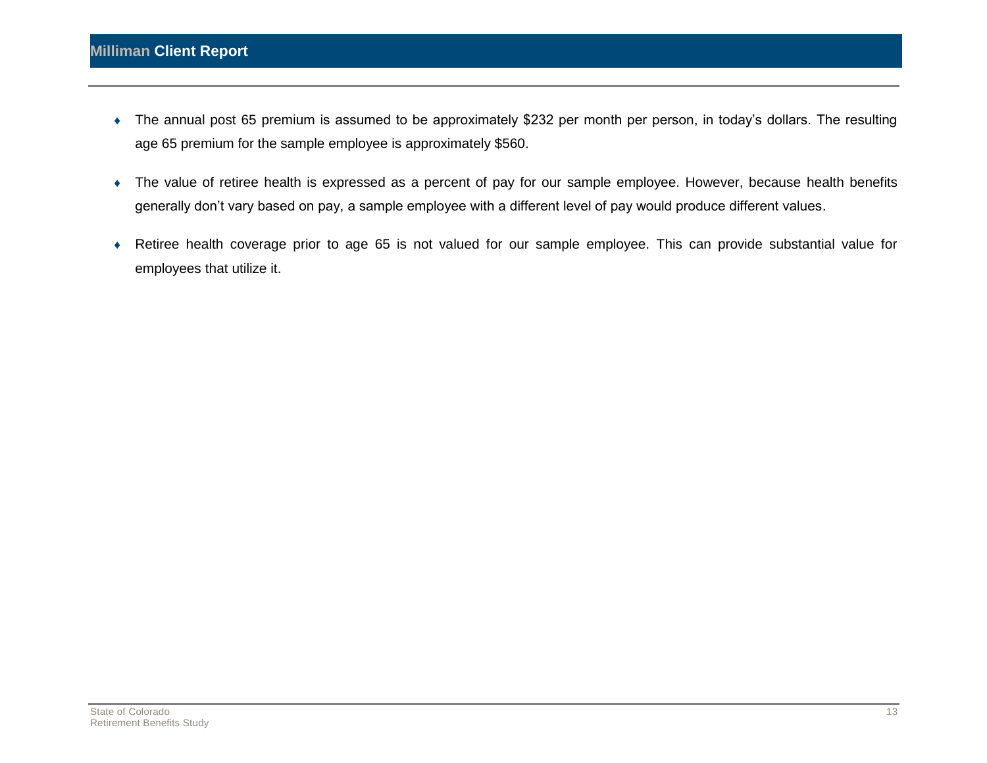- The annual post 65 premium is assumed to be approximately \$232 per month per person, in today's dollars. The resulting age 65 premium for the sample employee is approximately \$560.
- The value of retiree health is expressed as a percent of pay for our sample employee. However, because health benefits generally don't vary based on pay, a sample employee with a different level of pay would produce different values.
- Retiree health coverage prior to age 65 is not valued for our sample employee. This can provide substantial value for employees that utilize it.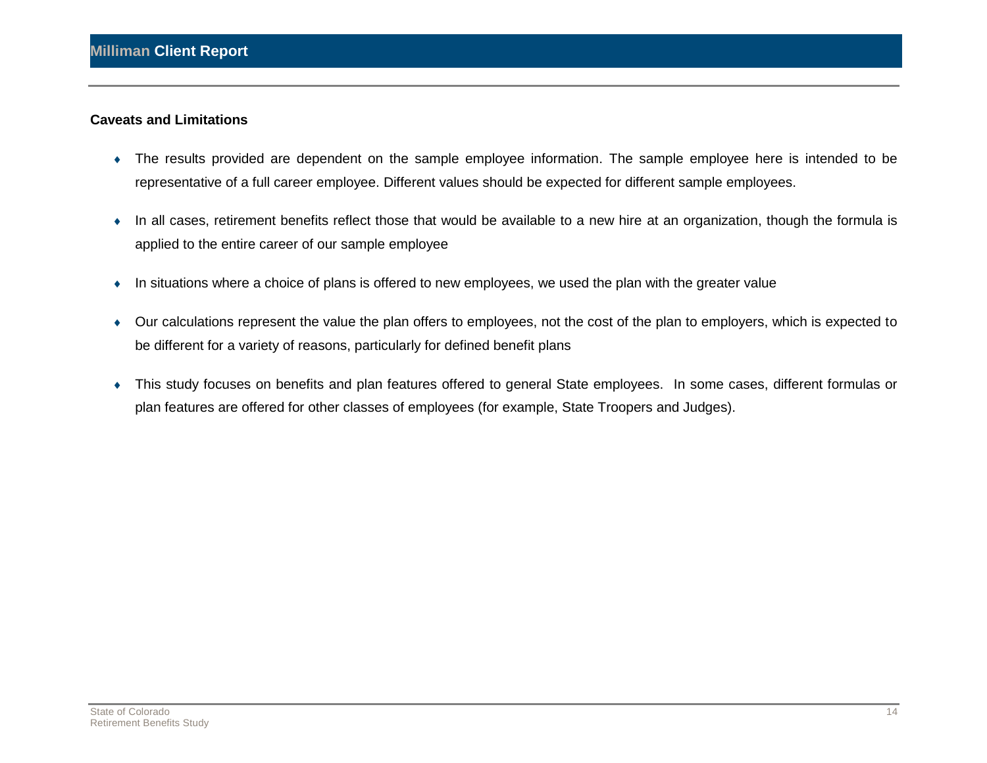#### **Caveats and Limitations**

- The results provided are dependent on the sample employee information. The sample employee here is intended to be representative of a full career employee. Different values should be expected for different sample employees.
- In all cases, retirement benefits reflect those that would be available to a new hire at an organization, though the formula is applied to the entire career of our sample employee
- In situations where a choice of plans is offered to new employees, we used the plan with the greater value
- Our calculations represent the value the plan offers to employees, not the cost of the plan to employers, which is expected to be different for a variety of reasons, particularly for defined benefit plans
- This study focuses on benefits and plan features offered to general State employees. In some cases, different formulas or plan features are offered for other classes of employees (for example, State Troopers and Judges).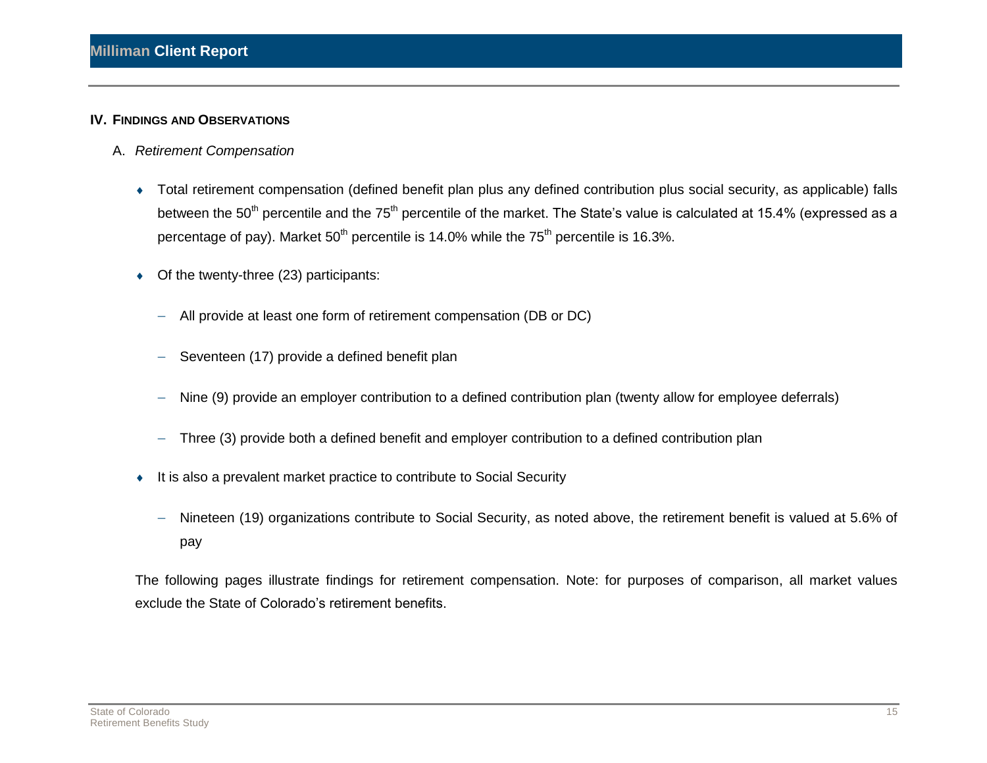#### **IV. FINDINGS AND OBSERVATIONS**

- A. *Retirement Compensation* 
	- Total retirement compensation (defined benefit plan plus any defined contribution plus social security, as applicable) falls between the 50<sup>th</sup> percentile and the 75<sup>th</sup> percentile of the market. The State's value is calculated at 15.4% (expressed as a percentage of pay). Market  $50<sup>th</sup>$  percentile is 14.0% while the  $75<sup>th</sup>$  percentile is 16.3%.
	- Of the twenty-three (23) participants:
		- All provide at least one form of retirement compensation (DB or DC)
		- Seventeen (17) provide a defined benefit plan
		- Nine (9) provide an employer contribution to a defined contribution plan (twenty allow for employee deferrals)
		- Three (3) provide both a defined benefit and employer contribution to a defined contribution plan
	- It is also a prevalent market practice to contribute to Social Security
		- Nineteen (19) organizations contribute to Social Security, as noted above, the retirement benefit is valued at 5.6% of pay

The following pages illustrate findings for retirement compensation. Note: for purposes of comparison, all market values exclude the State of Colorado's retirement benefits.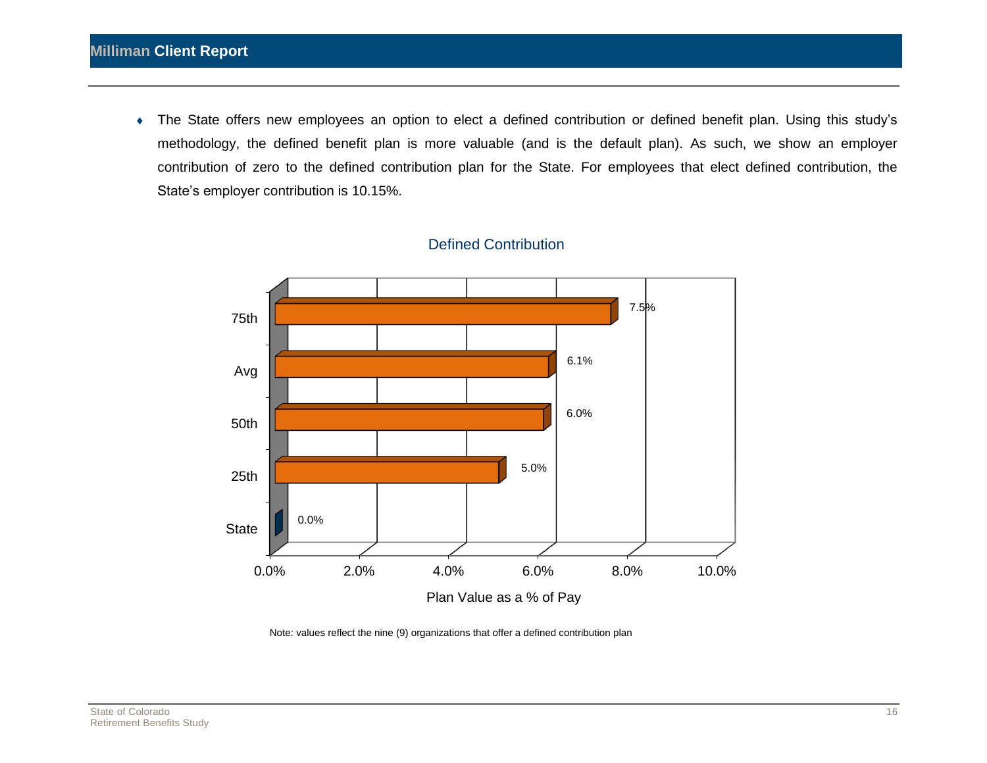The State offers new employees an option to elect a defined contribution or defined benefit plan. Using this study's methodology, the defined benefit plan is more valuable (and is the default plan). As such, we show an employer contribution of zero to the defined contribution plan for the State. For employees that elect defined contribution, the State's employer contribution is 10.15%.



### Defined Contribution

Note: values reflect the nine (9) organizations that offer a defined contribution plan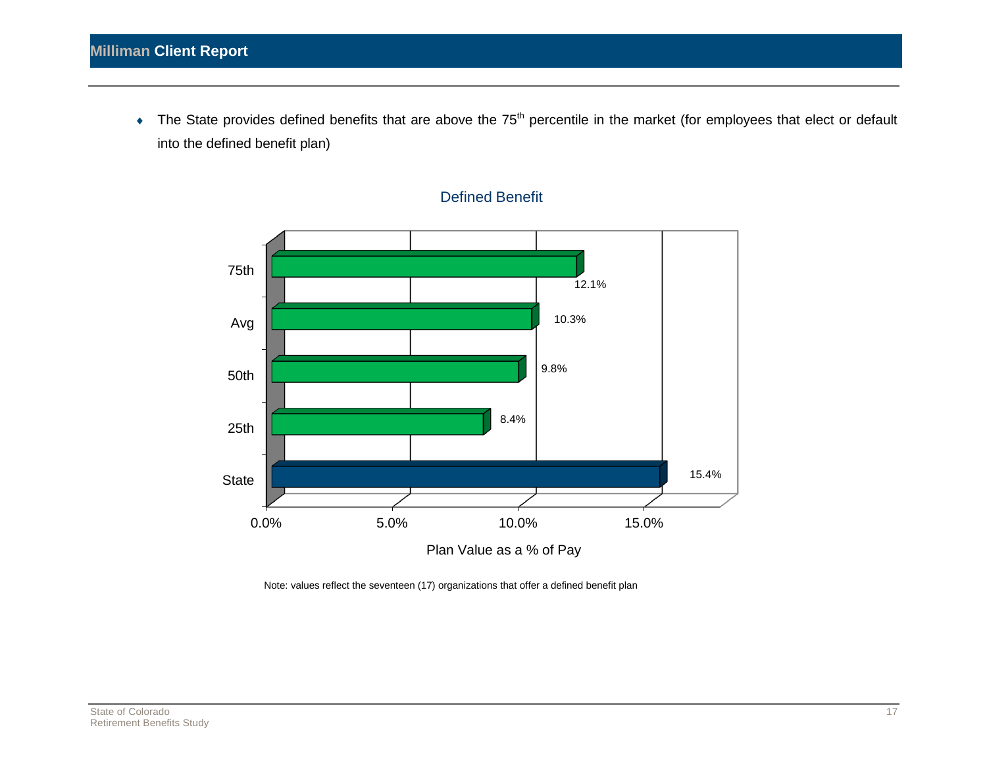The State provides defined benefits that are above the 75<sup>th</sup> percentile in the market (for employees that elect or default into the defined benefit plan)



#### Defined Benefit

Note: values reflect the seventeen (17) organizations that offer a defined benefit plan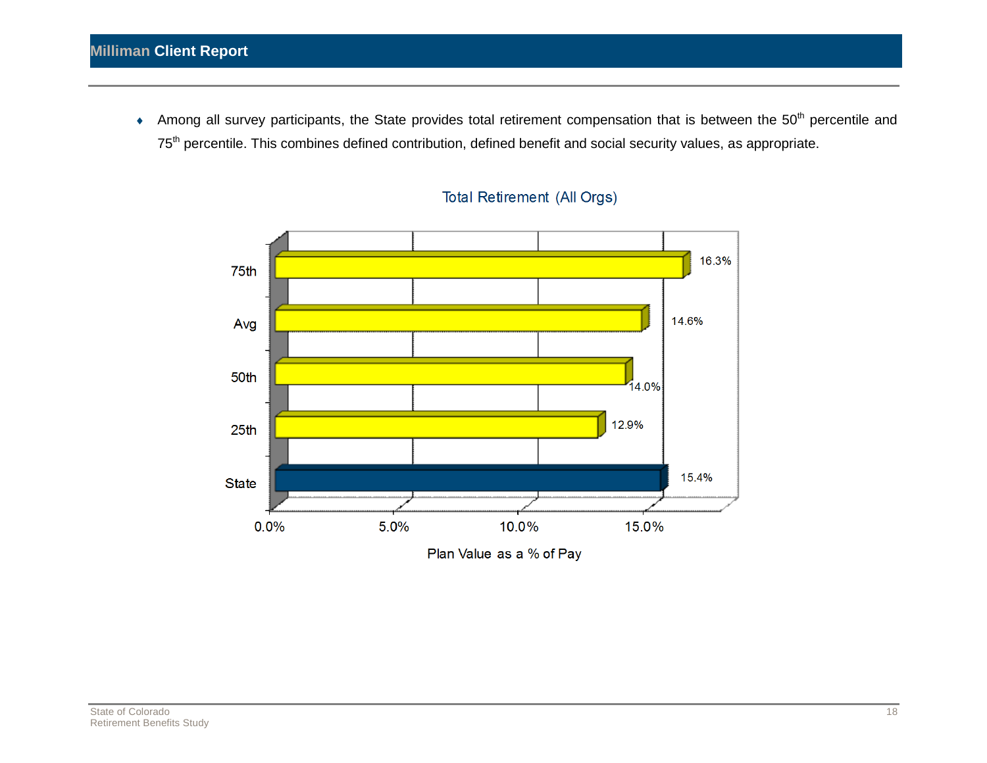Among all survey participants, the State provides total retirement compensation that is between the 50<sup>th</sup> percentile and 75<sup>th</sup> percentile. This combines defined contribution, defined benefit and social security values, as appropriate.



### **Total Retirement (All Orgs)**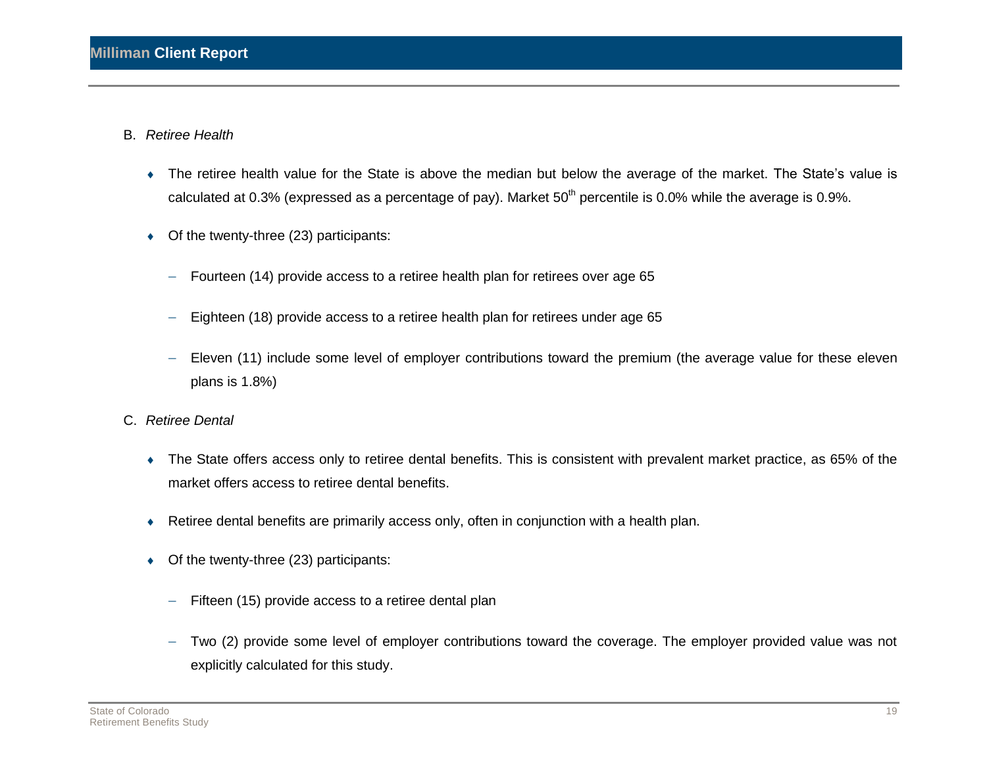- B. *Retiree Health* 
	- The retiree health value for the State is above the median but below the average of the market. The State's value is calculated at 0.3% (expressed as a percentage of pay). Market  $50<sup>th</sup>$  percentile is 0.0% while the average is 0.9%.
	- Of the twenty-three (23) participants:
		- $-$  Fourteen (14) provide access to a retiree health plan for retirees over age 65
		- Eighteen (18) provide access to a retiree health plan for retirees under age 65
		- Eleven (11) include some level of employer contributions toward the premium (the average value for these eleven plans is 1.8%)
- C. *Retiree Dental* 
	- The State offers access only to retiree dental benefits. This is consistent with prevalent market practice, as 65% of the market offers access to retiree dental benefits.
	- Retiree dental benefits are primarily access only, often in conjunction with a health plan.
	- Of the twenty-three (23) participants:
		- Fifteen (15) provide access to a retiree dental plan
		- Two (2) provide some level of employer contributions toward the coverage. The employer provided value was not explicitly calculated for this study.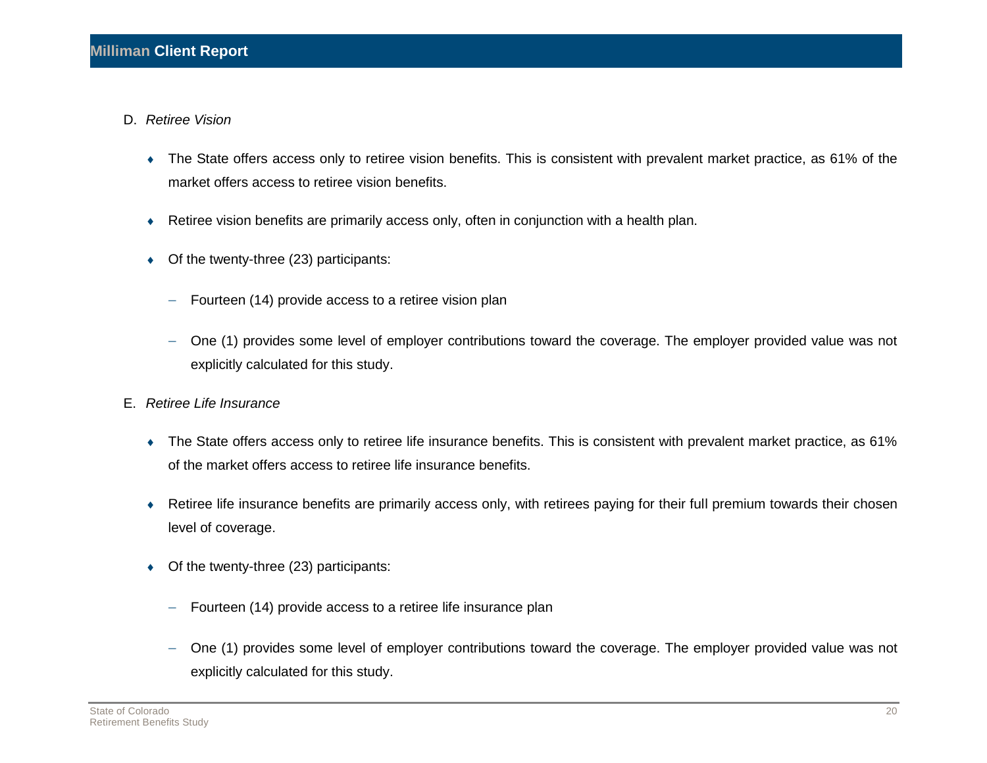- D. *Retiree Vision* 
	- The State offers access only to retiree vision benefits. This is consistent with prevalent market practice, as 61% of the market offers access to retiree vision benefits.
	- Retiree vision benefits are primarily access only, often in conjunction with a health plan.
	- Of the twenty-three (23) participants:
		- Fourteen (14) provide access to a retiree vision plan
		- One (1) provides some level of employer contributions toward the coverage. The employer provided value was not explicitly calculated for this study.
- E. *Retiree Life Insurance* 
	- The State offers access only to retiree life insurance benefits. This is consistent with prevalent market practice, as 61% of the market offers access to retiree life insurance benefits.
	- Retiree life insurance benefits are primarily access only, with retirees paying for their full premium towards their chosen level of coverage.
	- Of the twenty-three (23) participants:
		- $-$  Fourteen (14) provide access to a retiree life insurance plan
		- One (1) provides some level of employer contributions toward the coverage. The employer provided value was not explicitly calculated for this study.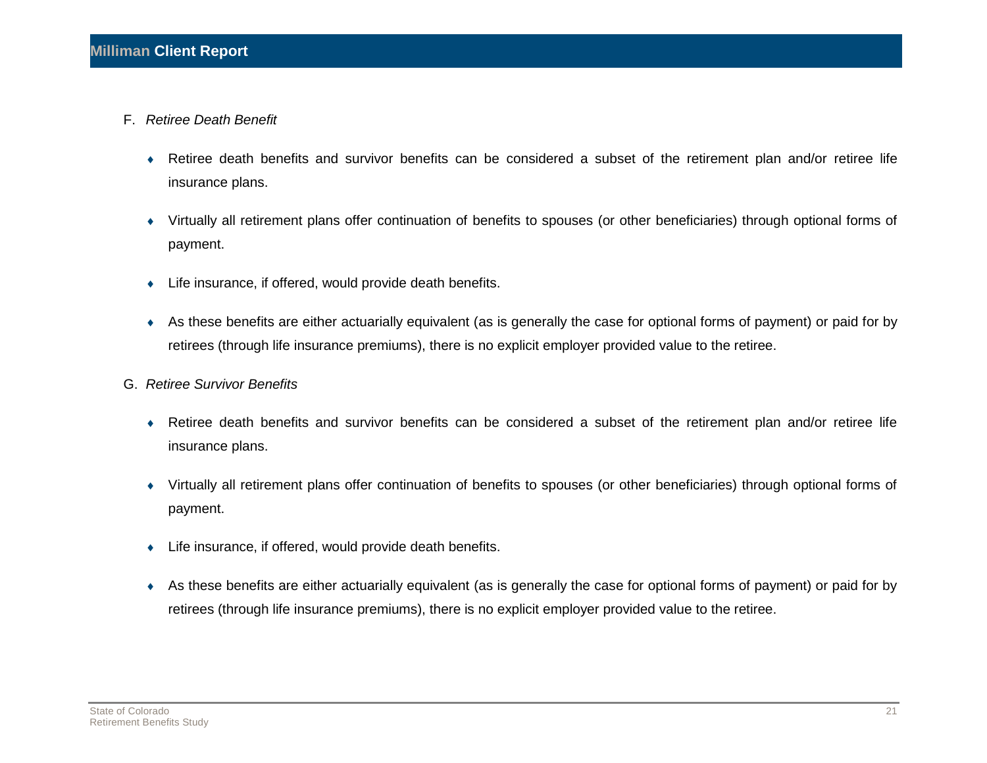- F. *Retiree Death Benefit* 
	- Retiree death benefits and survivor benefits can be considered a subset of the retirement plan and/or retiree life insurance plans.
	- Virtually all retirement plans offer continuation of benefits to spouses (or other beneficiaries) through optional forms of payment.
	- Life insurance, if offered, would provide death benefits.
	- As these benefits are either actuarially equivalent (as is generally the case for optional forms of payment) or paid for by retirees (through life insurance premiums), there is no explicit employer provided value to the retiree.
- G. *Retiree Survivor Benefits* 
	- Retiree death benefits and survivor benefits can be considered a subset of the retirement plan and/or retiree life insurance plans.
	- Virtually all retirement plans offer continuation of benefits to spouses (or other beneficiaries) through optional forms of payment.
	- Life insurance, if offered, would provide death benefits.
	- As these benefits are either actuarially equivalent (as is generally the case for optional forms of payment) or paid for by retirees (through life insurance premiums), there is no explicit employer provided value to the retiree.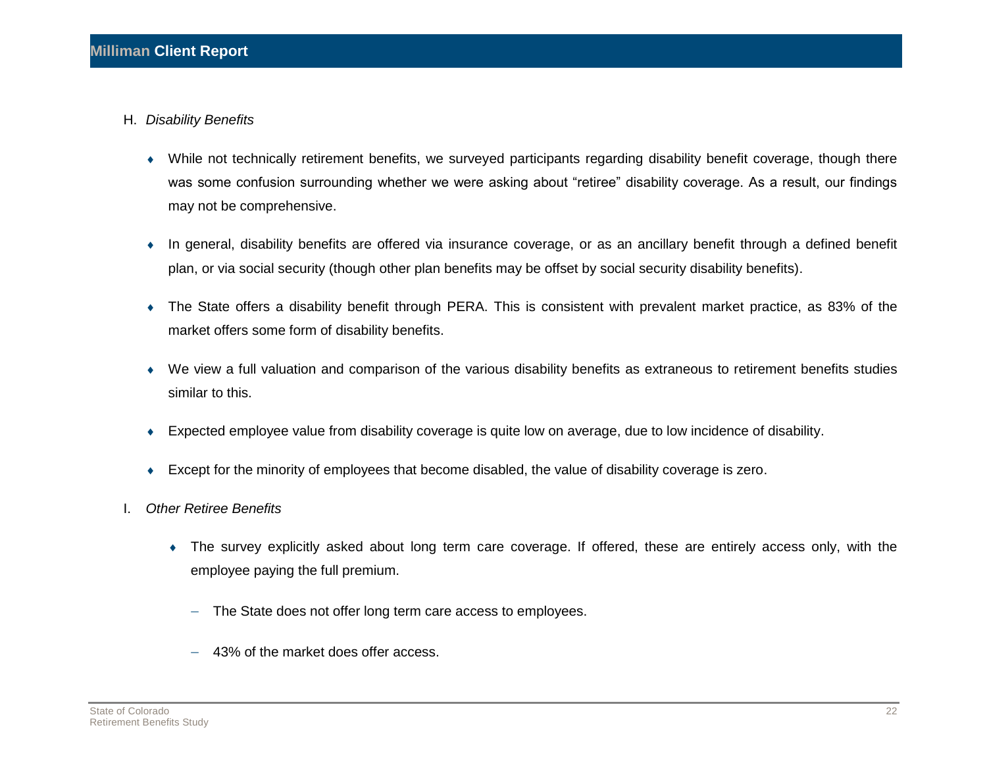- H. *Disability Benefits* 
	- While not technically retirement benefits, we surveyed participants regarding disability benefit coverage, though there was some confusion surrounding whether we were asking about "retiree" disability coverage. As a result, our findings may not be comprehensive.
	- In general, disability benefits are offered via insurance coverage, or as an ancillary benefit through a defined benefit plan, or via social security (though other plan benefits may be offset by social security disability benefits).
	- The State offers a disability benefit through PERA. This is consistent with prevalent market practice, as 83% of the market offers some form of disability benefits.
	- We view a full valuation and comparison of the various disability benefits as extraneous to retirement benefits studies similar to this.
	- Expected employee value from disability coverage is quite low on average, due to low incidence of disability.
	- Except for the minority of employees that become disabled, the value of disability coverage is zero.
- I. *Other Retiree Benefits* 
	- The survey explicitly asked about long term care coverage. If offered, these are entirely access only, with the employee paying the full premium.
		- The State does not offer long term care access to employees.
		- 43% of the market does offer access.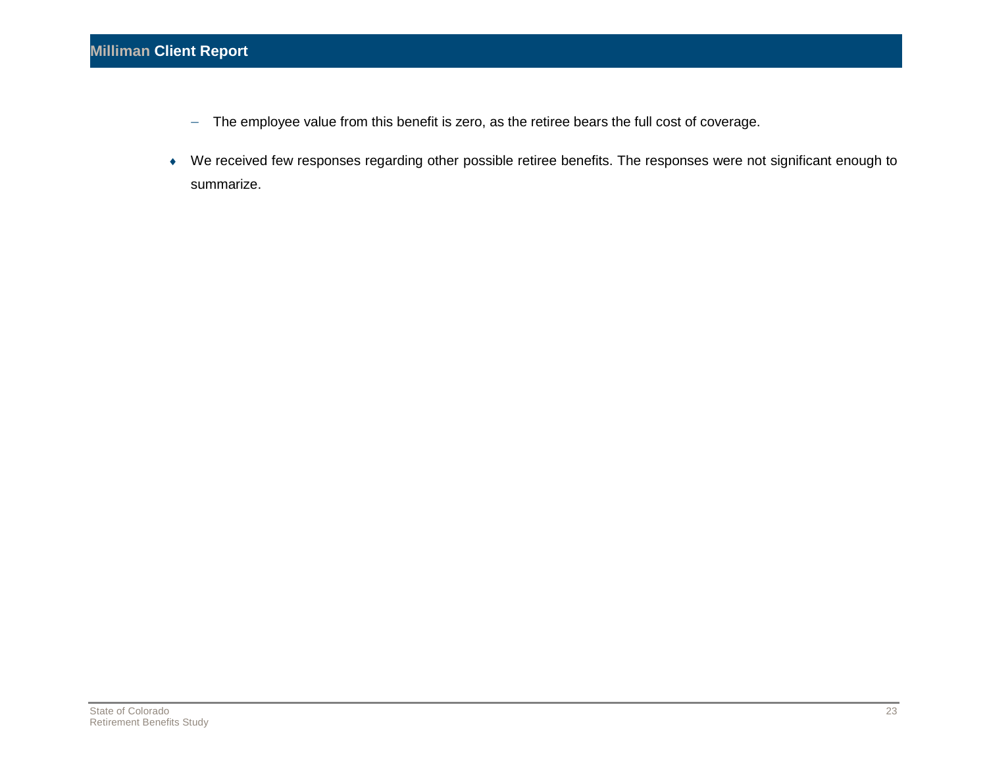- The employee value from this benefit is zero, as the retiree bears the full cost of coverage.
- We received few responses regarding other possible retiree benefits. The responses were not significant enough to summarize.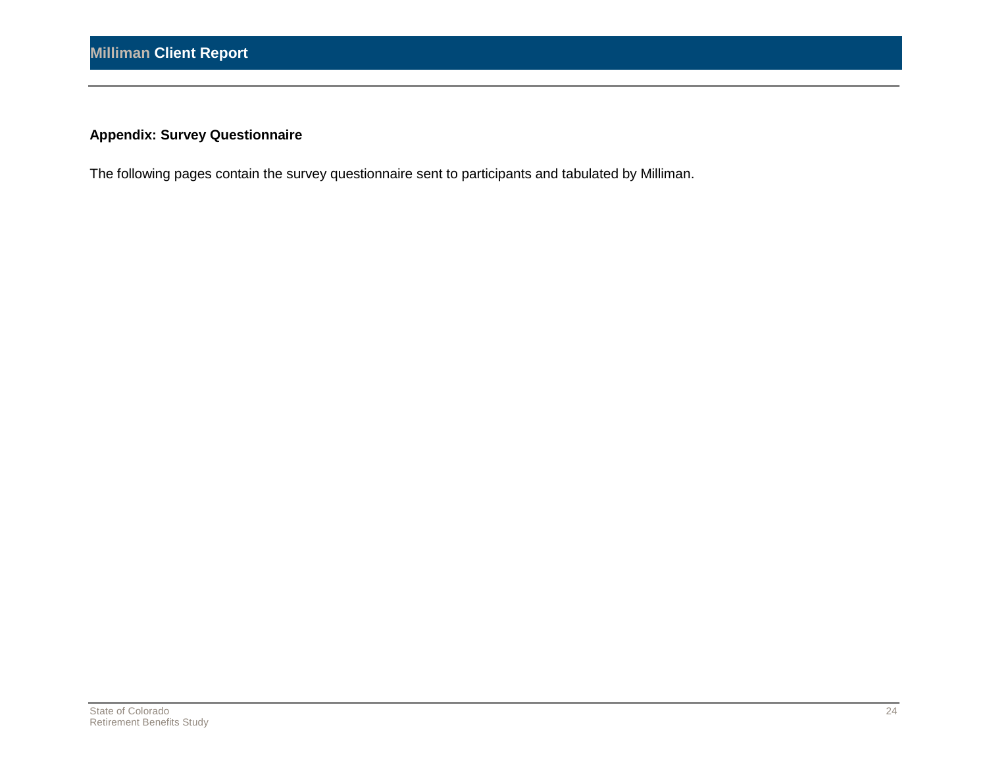### **Appendix: Survey Questionnaire**

The following pages contain the survey questionnaire sent to participants and tabulated by Milliman.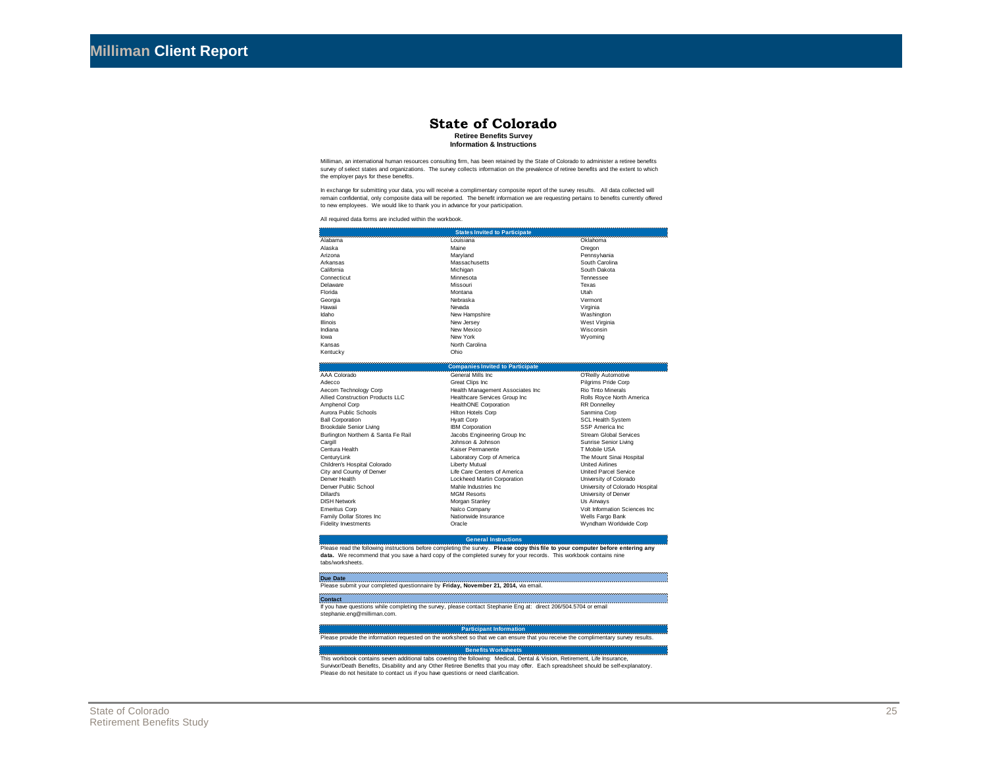#### **State of Colorado Retiree Benefits Survey**

**Information & Instructions**

Milliman, an international human resources consulting firm, has been retained by the State of Colorado to administer a retiree benefits survey of select states and organizations. The survey collects information on the prevalence of retiree benefits and the extent to which the employer pays for these benefits.

In exchange for submitting your data, you will receive a complimentary composite report of the survey results. All data collected will remain confidential, only composite data will be reported. The benefit information we are requesting pertains to benefits currently offered to new employees. We would like to thank you in advance for your participation.

All required data forms are included within the workbook.

|                 | <b>States Invited to Participate</b> |                |
|-----------------|--------------------------------------|----------------|
| Alabama         | Louisiana                            | Oklahoma       |
| Alaska          | Maine                                | Oregon         |
| Arizona         | Maryland                             | Pennsylvania   |
| Arkansas        | Massachusetts                        | South Carolina |
| California      | Michigan                             | South Dakota   |
| Connecticut     | Minnesota                            | Tennessee      |
| <b>Delaware</b> | Missouri                             | Texas          |
| Florida         | Montana                              | Utah           |
| Georgia         | Nebraska                             | Vermont        |
| Hawaii          | Nevada                               | Virginia       |
| Idaho           | New Hampshire                        | Washington     |
| Illinois        | New Jersey                           | West Virginia  |
| Indiana         | New Mexico                           | Wisconsin      |
| lowa            | New York                             | Wyoming        |
| Kansas          | North Carolina                       |                |
| Kentucky        | Ohio                                 |                |

|                                     | <b>Companies Invited to Participate</b> |                                 |
|-------------------------------------|-----------------------------------------|---------------------------------|
| AAA Colorado                        | General Mills Inc.                      | O'Reilly Automotive             |
| Adecco                              | Great Clips Inc.                        | Pilgrims Pride Corp             |
| Aecom Technology Corp               | Health Management Associates Inc.       | Rio Tinto Minerals              |
| Allied Construction Products LLC    | Healthcare Services Group Inc           | Rolls Royce North America       |
| Amphenol Corp                       | <b>HealthONE Corporation</b>            | <b>RR</b> Donnelley             |
| Aurora Public Schools               | <b>Hilton Hotels Corp</b>               | Sanmina Corp                    |
| <b>Ball Corporation</b>             | <b>Hyatt Corp</b>                       | <b>SCL Health System</b>        |
| Brookdale Senior Living             | <b>IBM Corporation</b>                  | SSP America Inc.                |
| Burlington Northern & Santa Fe Rail | Jacobs Engineering Group Inc.           | <b>Stream Global Services</b>   |
| Cargill                             | Johnson & Johnson                       | Sunrise Senior Living           |
| Centura Health                      | Kaiser Permanente                       | T Mobile USA                    |
| CenturyLink                         | Laboratory Corp of America              | The Mount Sinai Hospital        |
| Children's Hospital Colorado        | Liberty Mutual                          | <b>United Airlines</b>          |
| City and County of Denver           | Life Care Centers of America            | <b>United Parcel Service</b>    |
| Denver Health                       | Lockheed Martin Corporation             | University of Colorado          |
| Denver Public School                | Mahle Industries Inc.                   | University of Colorado Hospital |
| Dillard's                           | <b>MGM Resorts</b>                      | University of Denver            |
| <b>DISH Network</b>                 | Morgan Stanley                          | Us Airways                      |
| <b>Emeritus Corp</b>                | Nalco Company                           | Volt Information Sciences Inc.  |
| Family Dollar Stores Inc.           | Nationwide Insurance                    | Wells Fargo Bank                |
| <b>Fidelity Investments</b>         | Oracle                                  | Wyndham Worldwide Corp          |

#### **General Instructions**

Please read the following instructions before completing the survey. **Please copy this file to your computer before entering any data.** We recommend that you save a hard copy of the completed survey for your records. This workbook contains nine tabs/worksheets.

| Due Date                                                                            |  |
|-------------------------------------------------------------------------------------|--|
| Please submit your completed questionnaire by Friday, November 21, 2014, via email. |  |

If you have questions while completing the survey, please contact Stephanie Eng at: direct 206/504.5704 or email stephanie.eng@milliman.com. **Contact**

#### **Participant Information**

Please provide the information requested on the worksheet so that we can ensure that you receive the complimentary survey results.

#### **Benefits Worksheets**

This workbook contains seven additional tabs covering the following: Medical, Dental & Vision, Retirement, Life Insurance, Survivor/Death Benefits, Disability and any Other Retiree Benefits that you may offer. Each spreadsheet should be self-explanatory. Please do not hesitate to contact us if you have questions or need clarification.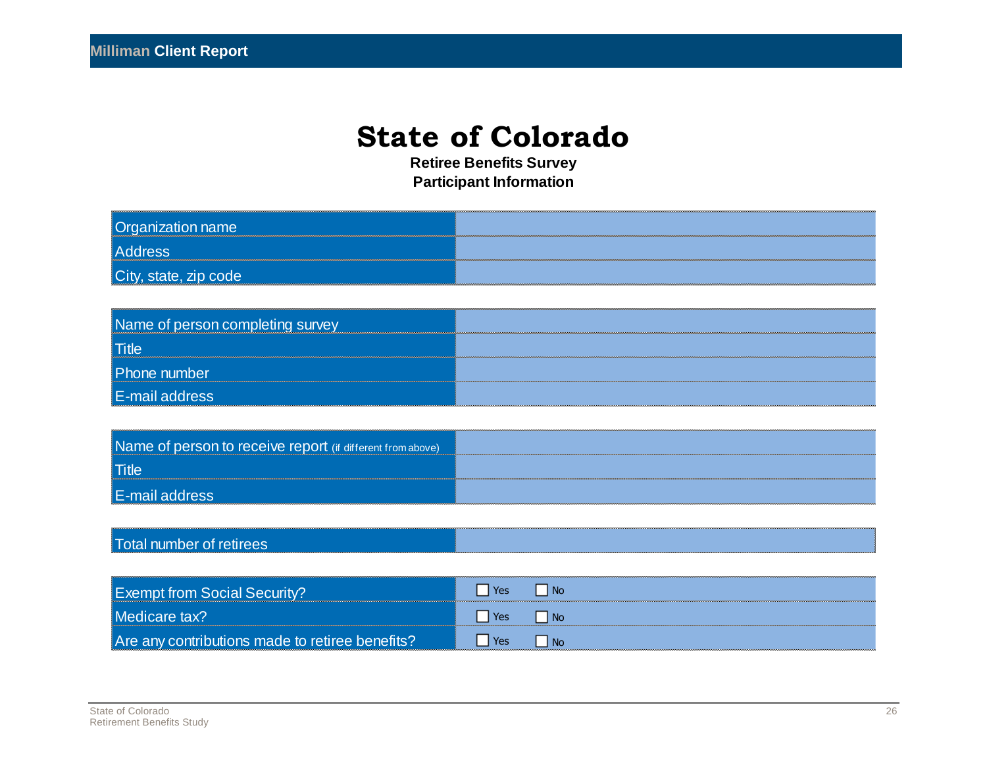**Retiree Benefits Survey Participant Information**

| <b>Organization name</b> |  |
|--------------------------|--|
| <b>Address</b>           |  |
| City, state, zip code    |  |

| Name of person completing survey |  |
|----------------------------------|--|
| Title                            |  |
| Phone number                     |  |
| <b>E-mail address</b>            |  |

| Name of person to receive report (if different from above) |  |
|------------------------------------------------------------|--|
| <b>Title</b>                                               |  |
| E-mail                                                     |  |

### Total number of retirees

| <b>Exempt from Social Securit</b>               |     |  |
|-------------------------------------------------|-----|--|
| <b>AMACION</b>                                  |     |  |
| Are any contributions made to retiree benefits? | Yes |  |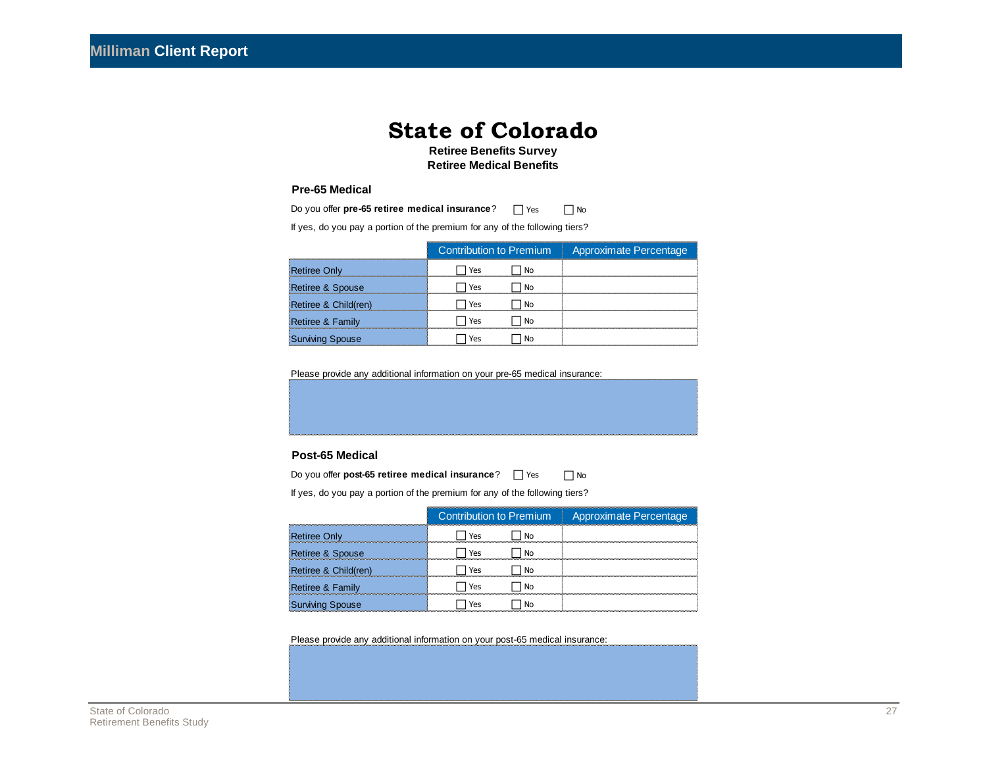**Retiree Benefits Survey Retiree Medical Benefits**

#### **Pre-65 Medical**

| Do you offer pre-65 retiree medical insurance?                              |     | Yes | Nο                     |  |
|-----------------------------------------------------------------------------|-----|-----|------------------------|--|
| If yes, do you pay a portion of the premium for any of the following tiers? |     |     |                        |  |
| Contribution to Premium                                                     |     |     | Approximate Percentage |  |
| <b>Retiree Only</b>                                                         | Yes | No  |                        |  |
| Retiree & Spouse                                                            | Yes | No  |                        |  |
| Retiree & Child(ren)                                                        | Yes | No  |                        |  |
| <b>Retiree &amp; Family</b>                                                 | Yes | No  |                        |  |
| Surviving Spouse                                                            | Yes | Nο  |                        |  |

Please provide any additional information on your pre-65 medical insurance:

#### **Post-65 Medical**

| Do you offer post-65 retiree medical insurance?<br>l l Yes                  |                        |    | No |  |
|-----------------------------------------------------------------------------|------------------------|----|----|--|
| If yes, do you pay a portion of the premium for any of the following tiers? |                        |    |    |  |
|                                                                             | Approximate Percentage |    |    |  |
| <b>Retiree Only</b>                                                         | Yes                    | No |    |  |
| Retiree & Spouse                                                            | Yes                    | No |    |  |
| Retiree & Child(ren)                                                        | Yes                    | No |    |  |
| Retiree & Family                                                            | Yes                    | Nο |    |  |
| <b>Surviving Spouse</b>                                                     | Yes                    | N٥ |    |  |

Please provide any additional information on your post-65 medical insurance: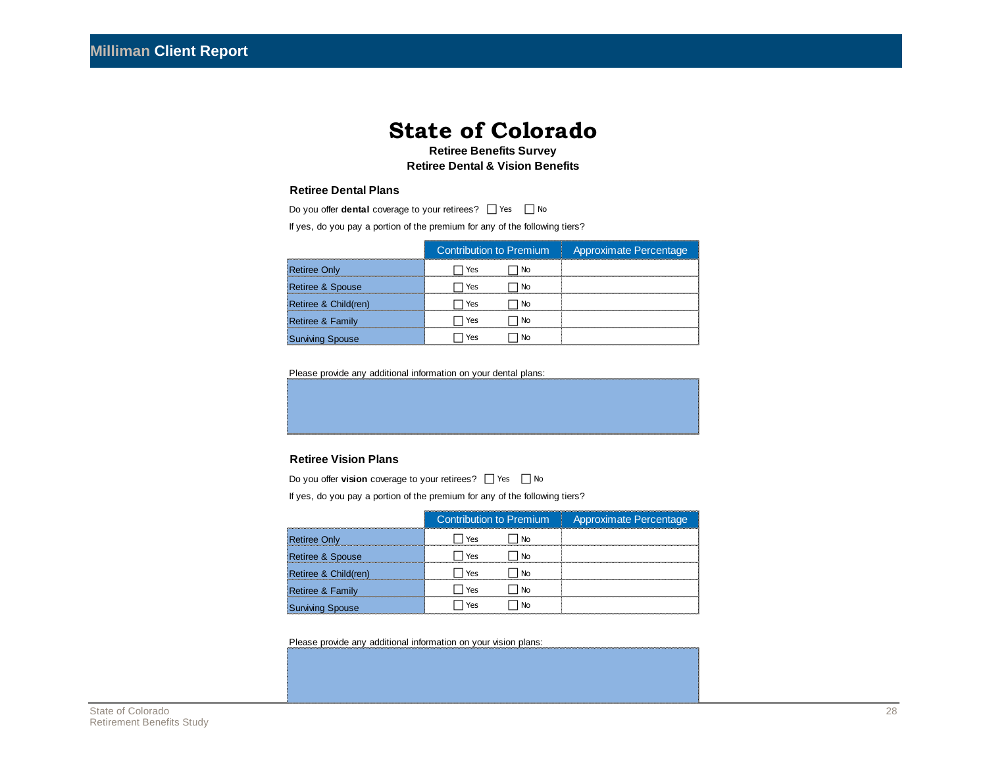**Retiree Benefits Survey Retiree Dental & Vision Benefits**

#### **Retiree Dental Plans**

| Do you offer <b>dental</b> coverage to your retirees? $\Box$ Yes<br>l No    |           |  |  |  |  |
|-----------------------------------------------------------------------------|-----------|--|--|--|--|
| If yes, do you pay a portion of the premium for any of the following tiers? |           |  |  |  |  |
| <b>Contribution to Premium</b><br>Approximate Percentage                    |           |  |  |  |  |
| <b>Retiree Only</b>                                                         | Yes<br>Nο |  |  |  |  |
| Retiree & Spouse                                                            | Yes<br>Nο |  |  |  |  |
| Retiree & Child(ren)                                                        | Yes<br>Nη |  |  |  |  |
| Retiree & Family                                                            | Yes       |  |  |  |  |
| Surviving Spouse                                                            | Yes<br>N٥ |  |  |  |  |

Please provide any additional information on your dental plans:

#### **Retiree Vision Plans**

| Do you offer <b>vision</b> coverage to your retirees? $\Box$ Yes<br>No      |                                |                        |  |  |
|-----------------------------------------------------------------------------|--------------------------------|------------------------|--|--|
| If yes, do you pay a portion of the premium for any of the following tiers? |                                |                        |  |  |
|                                                                             | <b>Contribution to Premium</b> | Approximate Percentage |  |  |
| <b>Retiree Only</b>                                                         | Yes                            |                        |  |  |
| Retiree & Spouse                                                            | Yes<br>N٥                      |                        |  |  |
| Retiree & Child(ren)                                                        | Yes                            |                        |  |  |
| Retiree & Family                                                            | Yes                            |                        |  |  |
| <b>Surviving Spouse</b>                                                     | Yes                            |                        |  |  |

Please provide any additional information on your vision plans: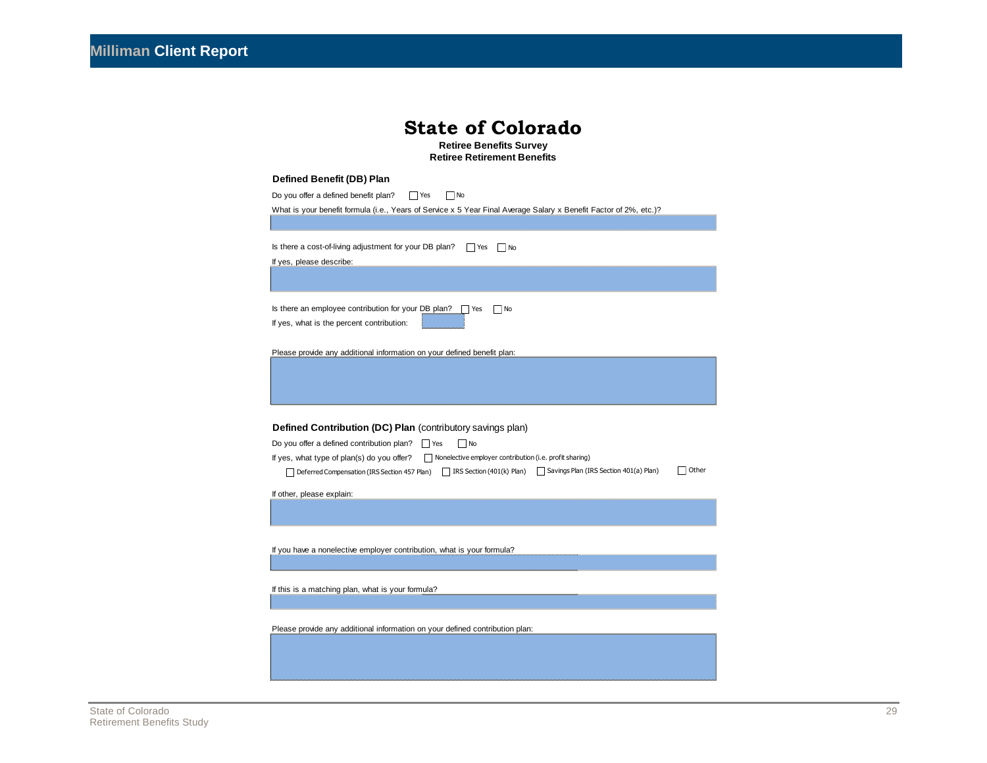|                                | <b>State of Colorado</b> |  |
|--------------------------------|--------------------------|--|
| <b>Retiree Benefits Survey</b> |                          |  |

**Retiree Retirement Benefits**

#### **Defined Benefit (DB) Plan**

| Do you offer a defined benefit plan?<br>    Yes<br>  No<br>What is your benefit formula (i.e., Years of Service x 5 Year Final Average Salary x Benefit Factor of 2%, etc.)?                                                                  |
|-----------------------------------------------------------------------------------------------------------------------------------------------------------------------------------------------------------------------------------------------|
|                                                                                                                                                                                                                                               |
| Is there a cost-of-living adjustment for your DB plan?<br>$\Box$ Yes<br>  No<br>If yes, please describe:                                                                                                                                      |
|                                                                                                                                                                                                                                               |
| Is there an employee contribution for your DB plan? $\Box$<br>□ No<br>Yes<br>If yes, what is the percent contribution:                                                                                                                        |
| Please provide any additional information on your defined benefit plan:                                                                                                                                                                       |
|                                                                                                                                                                                                                                               |
| Defined Contribution (DC) Plan (contributory savings plan)<br>Do you offer a defined contribution plan?<br>$\Box$ No<br>$\Box$ Yes                                                                                                            |
| If yes, what type of plan(s) do you offer?<br>$\Box$ Nonelective employer contribution (i.e. profit sharing)<br>Other<br>□ IRS Section (401(k) Plan) □ Savings Plan (IRS Section 401(a) Plan)<br>Deferred Compensation (IRS Section 457 Plan) |
| If other, please explain:                                                                                                                                                                                                                     |
|                                                                                                                                                                                                                                               |
| If you have a nonelective employer contribution, what is your formula?                                                                                                                                                                        |
|                                                                                                                                                                                                                                               |
| If this is a matching plan, what is your formula?                                                                                                                                                                                             |
|                                                                                                                                                                                                                                               |
| Please provide any additional information on your defined contribution plan:                                                                                                                                                                  |
|                                                                                                                                                                                                                                               |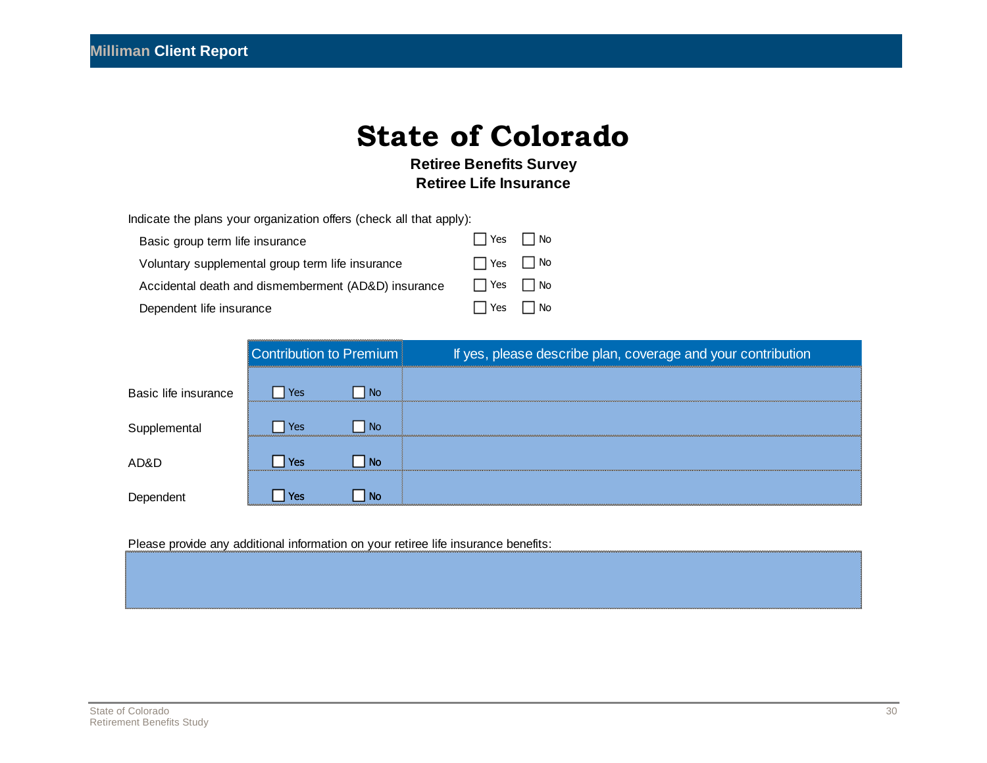**Retiree Benefits Survey Retiree Life Insurance**

|  |  | Indicate the plans your organization offers (check all that apply): |  |
|--|--|---------------------------------------------------------------------|--|
|--|--|---------------------------------------------------------------------|--|

| Basic group term life insurance                     | $\Box$ Yes $\Box$ No |  |
|-----------------------------------------------------|----------------------|--|
| Voluntary supplemental group term life insurance    | $\Box$ Yes $\Box$ No |  |
| Accidental death and dismemberment (AD&D) insurance | $\Box$ Yes $\Box$ No |  |
| Dependent life insurance                            | $\Box$ Yes $\Box$ No |  |

| voluntary supplementary group term me msurance      |                         |    | .   |                                                              |  |  |
|-----------------------------------------------------|-------------------------|----|-----|--------------------------------------------------------------|--|--|
| Accidental death and dismemberment (AD&D) insurance |                         |    | Yes | l No                                                         |  |  |
| Dependent life insurance                            |                         |    | res | l No                                                         |  |  |
|                                                     |                         |    |     |                                                              |  |  |
|                                                     | Contribution to Premium |    |     | If yes, please describe plan, coverage and your contribution |  |  |
|                                                     |                         |    |     |                                                              |  |  |
| Basic life insurance                                | Yes                     | No |     |                                                              |  |  |
| Supplemental                                        | Yes                     | No |     |                                                              |  |  |
|                                                     |                         |    |     |                                                              |  |  |
| AD&D                                                | Yes                     | Nο |     |                                                              |  |  |
| Dependent                                           | res)                    |    |     |                                                              |  |  |

Please provide any additional information on your retiree life insurance benefits: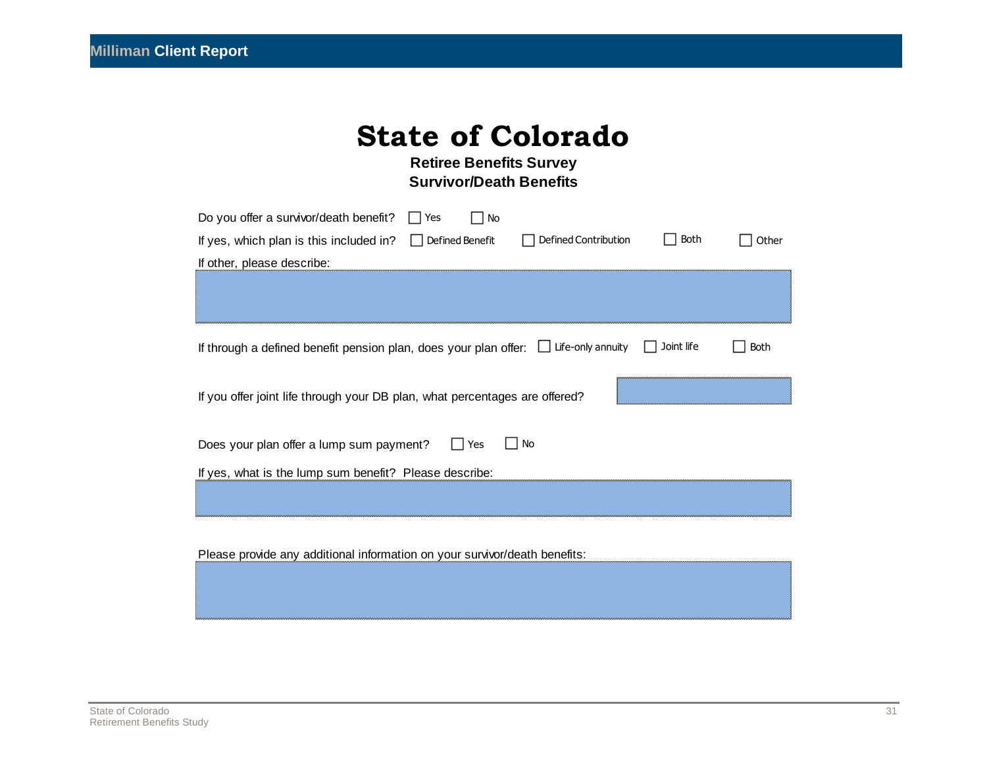**Retiree Benefits Survey Survivor/Death Benefits**

| Yes<br>Do you offer a survivor/death benefit?<br>No                                                         |             |       |  |  |
|-------------------------------------------------------------------------------------------------------------|-------------|-------|--|--|
| If yes, which plan is this included in? $\Box$ Defined Benefit<br>Defined Contribution                      | <b>Both</b> | Other |  |  |
| If other, please describe:                                                                                  |             |       |  |  |
|                                                                                                             |             |       |  |  |
|                                                                                                             |             |       |  |  |
| If through a defined benefit pension plan, does your plan offer: $\Box$ Life-only annuity $\Box$ Joint life |             | Both  |  |  |
| If you offer joint life through your DB plan, what percentages are offered?                                 |             |       |  |  |
| <b>No</b><br>Yes<br>Does your plan offer a lump sum payment?                                                |             |       |  |  |
| If yes, what is the lump sum benefit? Please describe:                                                      |             |       |  |  |
|                                                                                                             |             |       |  |  |
|                                                                                                             |             |       |  |  |

Please provide any additional information on your survivor/death benefits: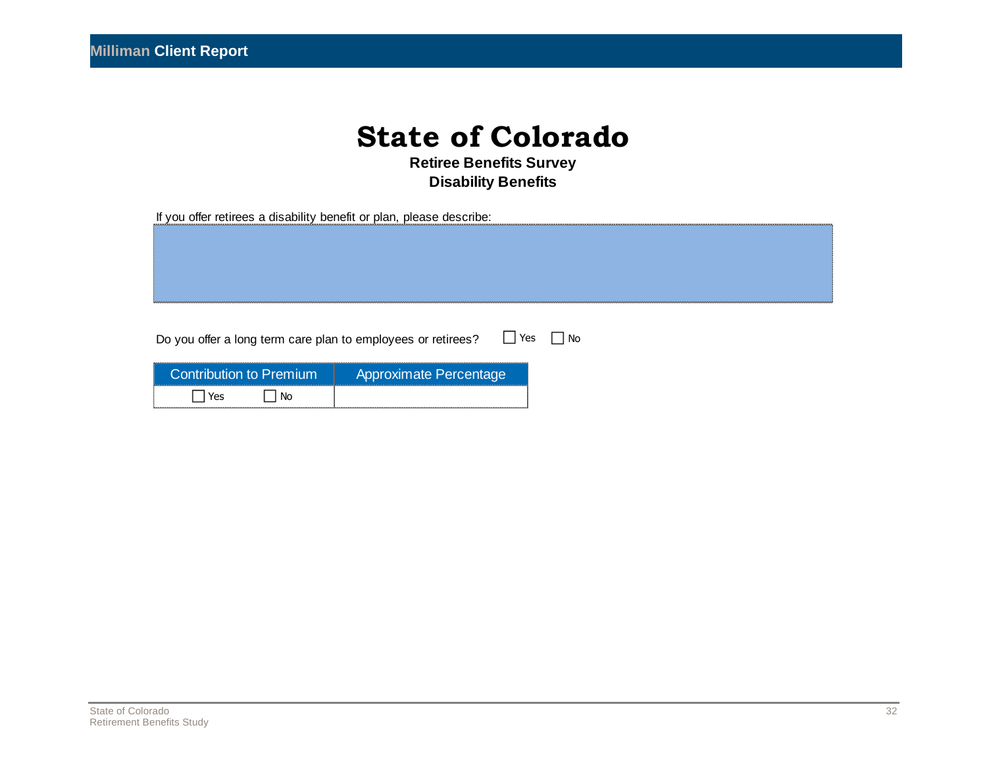**Retiree Benefits Survey Disability Benefits**

If you offer retirees a disability benefit or plan, please describe:

Do you offer a long term care plan to employees or retirees?  $\Box$  Yes  $\Box$  No

| Do you offer a long term care plan to employees or retirees? |                        |
|--------------------------------------------------------------|------------------------|
| <b>Contribution to Premium</b>                               | Approximate Percentage |
| ves                                                          |                        |